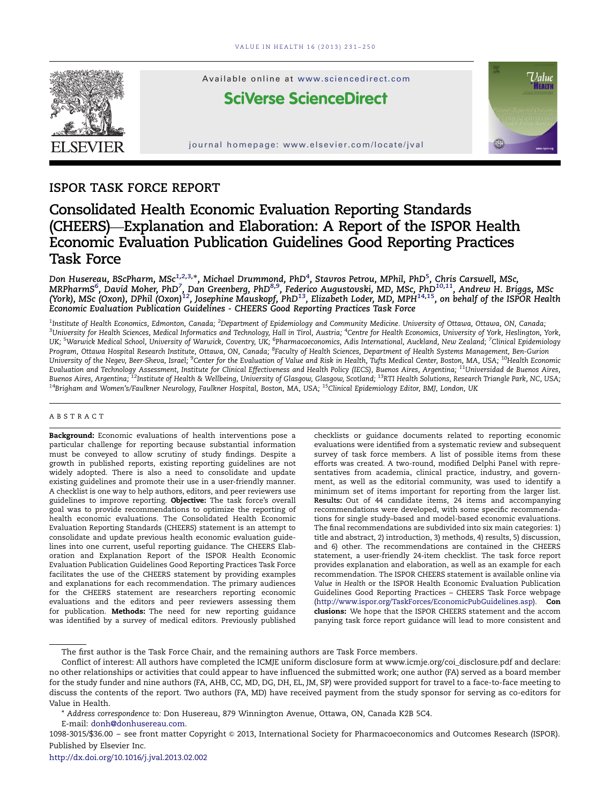

## ISPOR TASK FORCE REPORT

# Consolidated Health Economic Evaluation Reporting Standards (CHEERS)—Explanation and Elaboration: A Report of the ISPOR Health Economic Evaluation Publication Guidelines Good Reporting Practices Task Force

Don Husereau, BScPharm, MSc<sup>1,2,3,\*</sup>, Michael Drummond, PhD<sup>4</sup>, Stavros Petrou, MPhil, PhD<sup>5</sup>, Chris Carswell, MSc,<br>MRPharmS<sup>6</sup>, David Moher, PhD<sup>7</sup>, Dan Greenberg, PhD<sup>8,9</sup>, Federico Augustovski, MD, MSc, PhD<sup>10,11</sup>, Andr (York), MSc (Oxon), DPhil (Oxon) $^{12}$ , Josephine Mauskopf, PhD $^{13}$ , Elizabeth Loder, MD, MPH $^{14,15}$ , on behalf of the ISPOR Health Economic Evaluation Publication Guidelines - CHEERS Good Reporting Practices Task Force

<sup>1</sup>Institute of Health Economics, Edmonton, Canada; <sup>2</sup>Department of Epidemiology and Community Medicine. University of Ottawa, Ottawa, ON, Canada; <sup>3</sup>University for Health Sciences, Medical Informatics and Technology, Hall in Tirol, Austria; <sup>4</sup>Centre for Health Economics, University of York, Heslington, York, UK; <sup>s</sup>Warwick Medical School, University of Warwick, Coventry, UK; <sup>6</sup>Pharmacoeconomics, Adis International, Auckland, New Zealand; <sup>7</sup>Clinical Epidemiology Program, Ottawa Hospital Research Institute, Ottawa, ON, Canada; <sup>8</sup>Faculty of Health Sciences, Department of Health Systems Management, Ben-Gurion University of the Negev, Beer-Sheva, Israel; <sup>9</sup>Center for the Evaluation of Value and Risk in Health, Tufts Medical Center, Boston, MA, USA; <sup>10</sup>Health Economic Evaluation and Technology Assessment, Institute for Clinical Effectiveness and Health Policy (IECS), Buenos Aires, Argentina; <sup>11</sup>Universidad de Buenos Aires, Buenos Aires, Argentina; <sup>12</sup>Institute of Health & Wellbeing, University of Glasgow, Glasgow, Scotland; <sup>13</sup>RTI Health Solutions, Research Triangle Park, NC, USA;  $^{14}$ Brigham and Women's/Faulkner Neurology, Faulkner Hospital, Boston, MA, USA;  $^{15}$ Clinical Epidemiology Editor, BMJ, London, UK

## ABSTRACT

Background: Economic evaluations of health interventions pose a particular challenge for reporting because substantial information must be conveyed to allow scrutiny of study findings. Despite a growth in published reports, existing reporting guidelines are not widely adopted. There is also a need to consolidate and update existing guidelines and promote their use in a user-friendly manner. A checklist is one way to help authors, editors, and peer reviewers use guidelines to improve reporting. Objective: The task force's overall goal was to provide recommendations to optimize the reporting of health economic evaluations. The Consolidated Health Economic Evaluation Reporting Standards (CHEERS) statement is an attempt to consolidate and update previous health economic evaluation guidelines into one current, useful reporting guidance. The CHEERS Elaboration and Explanation Report of the ISPOR Health Economic Evaluation Publication Guidelines Good Reporting Practices Task Force facilitates the use of the CHEERS statement by providing examples and explanations for each recommendation. The primary audiences for the CHEERS statement are researchers reporting economic evaluations and the editors and peer reviewers assessing them for publication. **Methods:** The need for new reporting guidance was identified by a survey of medical editors. Previously published

checklists or guidance documents related to reporting economic evaluations were identified from a systematic review and subsequent survey of task force members. A list of possible items from these efforts was created. A two-round, modified Delphi Panel with representatives from academia, clinical practice, industry, and government, as well as the editorial community, was used to identify a minimum set of items important for reporting from the larger list. Results: Out of 44 candidate items, 24 items and accompanying recommendations were developed, with some specific recommendations for single study–based and model-based economic evaluations. The final recommendations are subdivided into six main categories: 1) title and abstract, 2) introduction, 3) methods, 4) results, 5) discussion, and 6) other. The recommendations are contained in the CHEERS statement, a user-friendly 24-item checklist. The task force report provides explanation and elaboration, as well as an example for each recommendation. The ISPOR CHEERS statement is available online via Value in Health or the ISPOR Health Economic Evaluation Publication Guidelines Good Reporting Practices – CHEERS Task Force webpage [\(http://www.ispor.org/TaskForces/EconomicPubGuidelines.asp\)](http://www.ispor.org/TaskForces/EconomicPubGuidelines.asp). Con clusions: We hope that the ISPOR CHEERS statement and the accom panying task force report guidance will lead to more consistent and

The first author is the Task Force Chair, and the remaining authors are Task Force members.

Conflict of interest: All authors have completed the ICMJE uniform disclosure form at www.icmje.org/coi\_disclosure.pdf and declare: no other relationships or activities that could appear to have influenced the submitted work; one author (FA) served as a board member for the study funder and nine authors (FA, AHB, CC, MD, DG, DH, EL, JM, SP) were provided support for travel to a face-to-face meeting to discuss the contents of the report. Two authors (FA, MD) have received payment from the study sponsor for serving as co-editors for Value in Health.

Address correspondence to: Don Husereau, 879 Winnington Avenue, Ottawa, ON, Canada K2B 5C4.

E-mail: donh@donhusereau.com.

<sup>1098-3015/\$36.00 –</sup> see front matter Copyright & 2013, International Society for Pharmacoeconomics and Outcomes Research (ISPOR). Published by Elsevier Inc.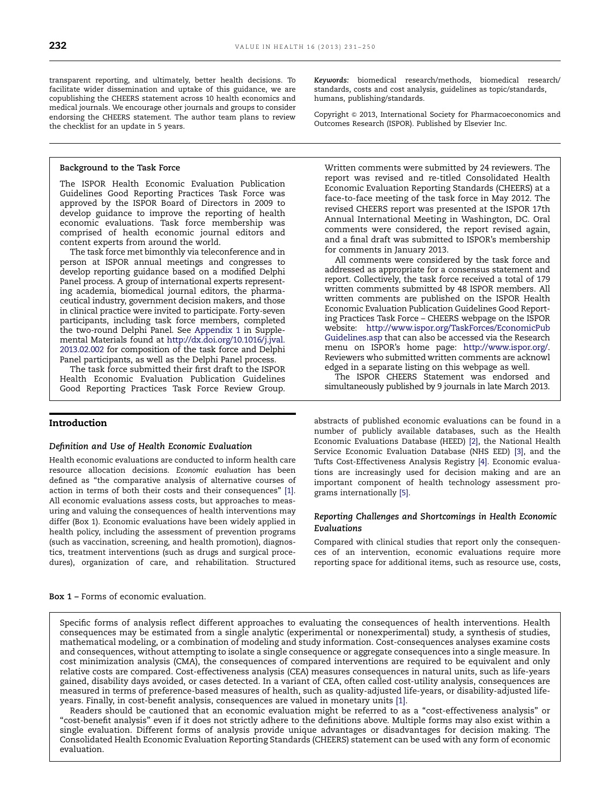transparent reporting, and ultimately, better health decisions. To facilitate wider dissemination and uptake of this guidance, we are copublishing the CHEERS statement across 10 health economics and medical journals. We encourage other journals and groups to consider endorsing the CHEERS statement. The author team plans to review the checklist for an update in 5 years.

#### Background to the Task Force

The ISPOR Health Economic Evaluation Publication Guidelines Good Reporting Practices Task Force was approved by the ISPOR Board of Directors in 2009 to develop guidance to improve the reporting of health economic evaluations. Task force membership was comprised of health economic journal editors and content experts from around the world.

The task force met bimonthly via teleconference and in person at ISPOR annual meetings and congresses to develop reporting guidance based on a modified Delphi Panel process. A group of international experts representing academia, biomedical journal editors, the pharmaceutical industry, government decision makers, and those in clinical practice were invited to participate. Forty-seven participants, including task force members, completed the two-round Delphi Panel. See [Appendix 1](#page-16-0) in Supplemental Materials found at [http://dx.doi.org/10.1016/j.jval.](dx.doi.org/10.1016/j.jval.2013.02.002) [2013.02.002](dx.doi.org/10.1016/j.jval.2013.02.002) for composition of the task force and Delphi Panel participants, as well as the Delphi Panel process.

The task force submitted their first draft to the ISPOR Health Economic Evaluation Publication Guidelines Good Reporting Practices Task Force Review Group.

## Introduction

#### Definition and Use of Health Economic Evaluation

Health economic evaluations are conducted to inform health care resource allocation decisions. Economic evaluation has been defined as ''the comparative analysis of alternative courses of action in terms of both their costs and their consequences'' [\[1\].](#page-16-0) All economic evaluations assess costs, but approaches to measuring and valuing the consequences of health interventions may differ (Box 1). Economic evaluations have been widely applied in health policy, including the assessment of prevention programs (such as vaccination, screening, and health promotion), diagnostics, treatment interventions (such as drugs and surgical procedures), organization of care, and rehabilitation. Structured

Keywords: biomedical research/methods, biomedical research/ standards, costs and cost analysis, guidelines as topic/standards, humans, publishing/standards.

Copyright © 2013, International Society for Pharmacoeconomics and Outcomes Research (ISPOR). Published by Elsevier Inc.

Written comments were submitted by 24 reviewers. The report was revised and re-titled Consolidated Health Economic Evaluation Reporting Standards (CHEERS) at a face-to-face meeting of the task force in May 2012. The revised CHEERS report was presented at the ISPOR 17th Annual International Meeting in Washington, DC. Oral comments were considered, the report revised again, and a final draft was submitted to ISPOR's membership for comments in January 2013.

All comments were considered by the task force and addressed as appropriate for a consensus statement and report. Collectively, the task force received a total of 179 written comments submitted by 48 ISPOR members. All written comments are published on the ISPOR Health Economic Evaluation Publication Guidelines Good Reporting Practices Task Force – CHEERS webpage on the ISPOR website: [http://www.ispor.org/TaskForces/EconomicPub](http://www.ispor.org/TaskForces/EconomicPubGuidelines.asp) [Guidelines.asp](http://www.ispor.org/TaskForces/EconomicPubGuidelines.asp) that can also be accessed via the Research menu on ISPOR's home page: <http://www.ispor.org/>. Reviewers who submitted written comments are acknowl edged in a separate listing on this webpage as well.

The ISPOR CHEERS Statement was endorsed and simultaneously published by 9 journals in late March 2013.

abstracts of published economic evaluations can be found in a number of publicly available databases, such as the Health Economic Evaluations Database (HEED) [\[2\],](#page-16-0) the National Health Service Economic Evaluation Database (NHS EED) [\[3\],](#page-16-0) and the Tufts Cost-Effectiveness Analysis Registry [\[4\]](#page-16-0). Economic evaluations are increasingly used for decision making and are an important component of health technology assessment programs internationally [\[5\].](#page-16-0)

## Reporting Challenges and Shortcomings in Health Economic Evaluations

Compared with clinical studies that report only the consequences of an intervention, economic evaluations require more reporting space for additional items, such as resource use, costs,

#### Box 1 – Forms of economic evaluation.

Specific forms of analysis reflect different approaches to evaluating the consequences of health interventions. Health consequences may be estimated from a single analytic (experimental or nonexperimental) study, a synthesis of studies, mathematical modeling, or a combination of modeling and study information. Cost-consequences analyses examine costs and consequences, without attempting to isolate a single consequence or aggregate consequences into a single measure. In cost minimization analysis (CMA), the consequences of compared interventions are required to be equivalent and only relative costs are compared. Cost-effectiveness analysis (CEA) measures consequences in natural units, such as life-years gained, disability days avoided, or cases detected. In a variant of CEA, often called cost-utility analysis, consequences are measured in terms of preference-based measures of health, such as quality-adjusted life-years, or disability-adjusted lifeyears. Finally, in cost-benefit analysis, consequences are valued in monetary units [\[1\].](#page-16-0)

Readers should be cautioned that an economic evaluation might be referred to as a ''cost-effectiveness analysis'' or "cost-benefit analysis" even if it does not strictly adhere to the definitions above. Multiple forms may also exist within a single evaluation. Different forms of analysis provide unique advantages or disadvantages for decision making. The Consolidated Health Economic Evaluation Reporting Standards (CHEERS) statement can be used with any form of economic evaluation.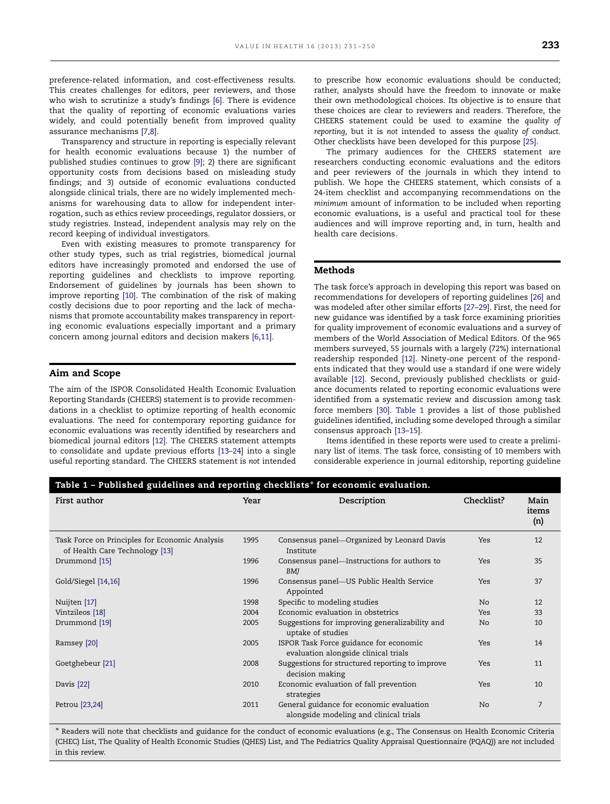<span id="page-2-0"></span>preference-related information, and cost-effectiveness results. This creates challenges for editors, peer reviewers, and those who wish to scrutinize a study's findings [\[6\]](#page-16-0). There is evidence that the quality of reporting of economic evaluations varies widely, and could potentially benefit from improved quality assurance mechanisms [\[7,8](#page-16-0)].

Transparency and structure in reporting is especially relevant for health economic evaluations because 1) the number of published studies continues to grow [\[9\]](#page-16-0); 2) there are significant opportunity costs from decisions based on misleading study findings; and 3) outside of economic evaluations conducted alongside clinical trials, there are no widely implemented mechanisms for warehousing data to allow for independent interrogation, such as ethics review proceedings, regulator dossiers, or study registries. Instead, independent analysis may rely on the record keeping of individual investigators.

Even with existing measures to promote transparency for other study types, such as trial registries, biomedical journal editors have increasingly promoted and endorsed the use of reporting guidelines and checklists to improve reporting. Endorsement of guidelines by journals has been shown to improve reporting [\[10\]](#page-16-0). The combination of the risk of making costly decisions due to poor reporting and the lack of mechanisms that promote accountability makes transparency in reporting economic evaluations especially important and a primary concern among journal editors and decision makers [\[6,11](#page-16-0)].

### Aim and Scope

The aim of the ISPOR Consolidated Health Economic Evaluation Reporting Standards (CHEERS) statement is to provide recommendations in a checklist to optimize reporting of health economic evaluations. The need for contemporary reporting guidance for economic evaluations was recently identified by researchers and biomedical journal editors [\[12\]](#page-16-0). The CHEERS statement attempts to consolidate and update previous efforts [\[13–24\]](#page-16-0) into a single useful reporting standard. The CHEERS statement is not intended

to prescribe how economic evaluations should be conducted; rather, analysts should have the freedom to innovate or make their own methodological choices. Its objective is to ensure that these choices are clear to reviewers and readers. Therefore, the CHEERS statement could be used to examine the quality of reporting, but it is not intended to assess the quality of conduct. Other checklists have been developed for this purpose [\[25\]](#page-16-0).

The primary audiences for the CHEERS statement are researchers conducting economic evaluations and the editors and peer reviewers of the journals in which they intend to publish. We hope the CHEERS statement, which consists of a 24-item checklist and accompanying recommendations on the minimum amount of information to be included when reporting economic evaluations, is a useful and practical tool for these audiences and will improve reporting and, in turn, health and health care decisions.

#### Methods

The task force's approach in developing this report was based on recommendations for developers of reporting guidelines [\[26\]](#page-16-0) and was modeled after other similar efforts [\[27–29](#page-16-0)]. First, the need for new guidance was identified by a task force examining priorities for quality improvement of economic evaluations and a survey of members of the World Association of Medical Editors. Of the 965 members surveyed, 55 journals with a largely (72%) international readership responded [\[12\]](#page-16-0). Ninety-one percent of the respondents indicated that they would use a standard if one were widely available [\[12\]](#page-16-0). Second, previously published checklists or guidance documents related to reporting economic evaluations were identified from a systematic review and discussion among task force members [\[30\].](#page-16-0) Table 1 provides a list of those published guidelines identified, including some developed through a similar consensus approach [\[13–15\]](#page-16-0).

Items identified in these reports were used to create a preliminary list of items. The task force, consisting of 10 members with considerable experience in journal editorship, reporting guideline

## Table 1 – Published guidelines and reporting checklists\* for economic evaluation.

| First author                                                                     | Year | Description                                                                        | Checklist?     | Main<br>items<br>(n) |
|----------------------------------------------------------------------------------|------|------------------------------------------------------------------------------------|----------------|----------------------|
| Task Force on Principles for Economic Analysis<br>of Health Care Technology [13] | 1995 | Consensus panel—Organized by Leonard Davis<br>Institute                            | Yes            | 12                   |
| Drummond [15]                                                                    | 1996 | Consensus panel-Instructions for authors to<br><b>BMJ</b>                          | <b>Yes</b>     | 35                   |
| Gold/Siegel [14,16]                                                              | 1996 | Consensus panel-US Public Health Service<br>Appointed                              | <b>Yes</b>     | 37                   |
| Nuijten [17]                                                                     | 1998 | Specific to modeling studies                                                       | N <sub>0</sub> | 12                   |
| Vintzileos [18]                                                                  | 2004 | Economic evaluation in obstetrics                                                  | Yes            | 33                   |
| Drummond [19]                                                                    | 2005 | Suggestions for improving generalizability and<br>uptake of studies                | N <sub>o</sub> | 10                   |
| Ramsey [20]                                                                      | 2005 | ISPOR Task Force guidance for economic<br>evaluation alongside clinical trials     | <b>Yes</b>     | 14                   |
| Goetghebeur [21]                                                                 | 2008 | Suggestions for structured reporting to improve<br>decision making                 | <b>Yes</b>     | 11                   |
| Davis [22]                                                                       | 2010 | Economic evaluation of fall prevention<br>strategies                               | <b>Yes</b>     | 10                   |
| Petrou [23,24]                                                                   | 2011 | General guidance for economic evaluation<br>alongside modeling and clinical trials | N <sub>0</sub> | 7                    |

- Readers will note that checklists and guidance for the conduct of economic evaluations (e.g., The Consensus on Health Economic Criteria (CHEC) List, The Quality of Health Economic Studies (QHES) List, and The Pediatrics Quality Appraisal Questionnaire (PQAQ)) are not included in this review.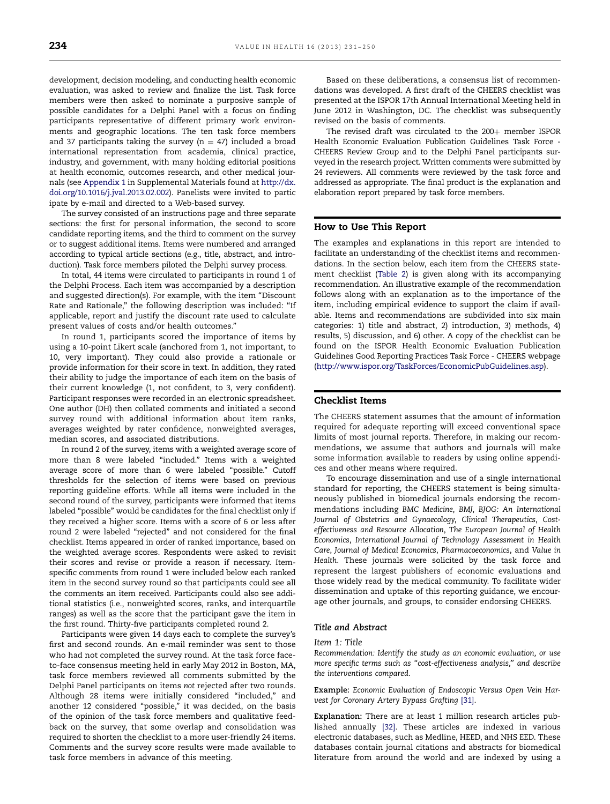development, decision modeling, and conducting health economic evaluation, was asked to review and finalize the list. Task force members were then asked to nominate a purposive sample of possible candidates for a Delphi Panel with a focus on finding participants representative of different primary work environments and geographic locations. The ten task force members and 37 participants taking the survey ( $n = 47$ ) included a broad international representation from academia, clinical practice, industry, and government, with many holding editorial positions at health economic, outcomes research, and other medical journals (see [Appendix 1](#page-16-0) in Supplemental Materials found at [http://dx.](dx.doi.org/10.1016/j.jval.2013.02.002) [doi.org/10.1016/j.jval.2013.02.002\)](dx.doi.org/10.1016/j.jval.2013.02.002). Panelists were invited to partic ipate by e-mail and directed to a Web-based survey.

The survey consisted of an instructions page and three separate sections: the first for personal information, the second to score candidate reporting items, and the third to comment on the survey or to suggest additional items. Items were numbered and arranged according to typical article sections (e.g., title, abstract, and introduction). Task force members piloted the Delphi survey process.

In total, 44 items were circulated to participants in round 1 of the Delphi Process. Each item was accompanied by a description and suggested direction(s). For example, with the item "Discount Rate and Rationale,'' the following description was included: ''If applicable, report and justify the discount rate used to calculate present values of costs and/or health outcomes.''

In round 1, participants scored the importance of items by using a 10-point Likert scale (anchored from 1, not important, to 10, very important). They could also provide a rationale or provide information for their score in text. In addition, they rated their ability to judge the importance of each item on the basis of their current knowledge (1, not confident, to 3, very confident). Participant responses were recorded in an electronic spreadsheet. One author (DH) then collated comments and initiated a second survey round with additional information about item ranks, averages weighted by rater confidence, nonweighted averages, median scores, and associated distributions.

In round 2 of the survey, items with a weighted average score of more than 8 were labeled ''included.'' Items with a weighted average score of more than 6 were labeled ''possible.'' Cutoff thresholds for the selection of items were based on previous reporting guideline efforts. While all items were included in the second round of the survey, participants were informed that items labeled "possible" would be candidates for the final checklist only if they received a higher score. Items with a score of 6 or less after round 2 were labeled ''rejected'' and not considered for the final checklist. Items appeared in order of ranked importance, based on the weighted average scores. Respondents were asked to revisit their scores and revise or provide a reason if necessary. Itemspecific comments from round 1 were included below each ranked item in the second survey round so that participants could see all the comments an item received. Participants could also see additional statistics (i.e., nonweighted scores, ranks, and interquartile ranges) as well as the score that the participant gave the item in the first round. Thirty-five participants completed round 2.

Participants were given 14 days each to complete the survey's first and second rounds. An e-mail reminder was sent to those who had not completed the survey round. At the task force faceto-face consensus meeting held in early May 2012 in Boston, MA, task force members reviewed all comments submitted by the Delphi Panel participants on items not rejected after two rounds. Although 28 items were initially considered "included," and another 12 considered "possible," it was decided, on the basis of the opinion of the task force members and qualitative feedback on the survey, that some overlap and consolidation was required to shorten the checklist to a more user-friendly 24 items. Comments and the survey score results were made available to task force members in advance of this meeting.

Based on these deliberations, a consensus list of recommendations was developed. A first draft of the CHEERS checklist was presented at the ISPOR 17th Annual International Meeting held in June 2012 in Washington, DC. The checklist was subsequently revised on the basis of comments.

The revised draft was circulated to the  $200+$  member ISPOR Health Economic Evaluation Publication Guidelines Task Force - CHEERS Review Group and to the Delphi Panel participants surveyed in the research project. Written comments were submitted by 24 reviewers. All comments were reviewed by the task force and addressed as appropriate. The final product is the explanation and elaboration report prepared by task force members.

## How to Use This Report

The examples and explanations in this report are intended to facilitate an understanding of the checklist items and recommendations. In the section below, each item from the CHEERS statement checklist ([Table 2](#page-4-0)) is given along with its accompanying recommendation. An illustrative example of the recommendation follows along with an explanation as to the importance of the item, including empirical evidence to support the claim if available. Items and recommendations are subdivided into six main categories: 1) title and abstract, 2) introduction, 3) methods, 4) results, 5) discussion, and 6) other. A copy of the checklist can be found on the ISPOR Health Economic Evaluation Publication Guidelines Good Reporting Practices Task Force - CHEERS webpage [\(http://www.ispor.org/TaskForces/EconomicPubGuidelines.asp\)](http://www.ispor.org/TaskForces/EconomicPubGuidelines.asp).

## Checklist Items

The CHEERS statement assumes that the amount of information required for adequate reporting will exceed conventional space limits of most journal reports. Therefore, in making our recommendations, we assume that authors and journals will make some information available to readers by using online appendices and other means where required.

To encourage dissemination and use of a single international standard for reporting, the CHEERS statement is being simultaneously published in biomedical journals endorsing the recommendations including BMC Medicine, BMJ, BJOG: An International Journal of Obstetrics and Gynaecology, Clinical Therapeutics, Costeffectiveness and Resource Allocation, The European Journal of Health Economics, International Journal of Technology Assessment in Health Care, Journal of Medical Economics, Pharmacoeconomics, and Value in Health. These journals were solicited by the task force and represent the largest publishers of economic evaluations and those widely read by the medical community. To facilitate wider dissemination and uptake of this reporting guidance, we encourage other journals, and groups, to consider endorsing CHEERS.

## Title and Abstract

#### Item 1: Title

Recommendation: Identify the study as an economic evaluation, or use more specific terms such as "cost-effectiveness analysis," and describe the interventions compared.

Example: Economic Evaluation of Endoscopic Versus Open Vein Harvest for Coronary Artery Bypass Grafting [\[31\].](#page-16-0)

Explanation: There are at least 1 million research articles published annually [\[32\]](#page-16-0). These articles are indexed in various electronic databases, such as Medline, HEED, and NHS EED. These databases contain journal citations and abstracts for biomedical literature from around the world and are indexed by using a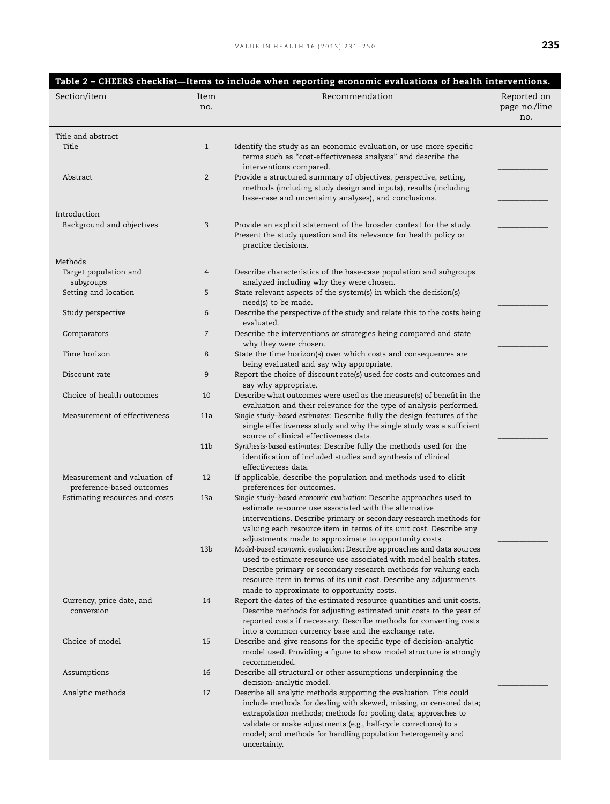| Section/item                                              | <u>to merade</u><br>Item<br>no. | ,,,,,, <sub>5</sub><br>Recommendation                                                                                                                                                                                                                                                                                                                            | Reported on<br>page no./line<br>no. |  |
|-----------------------------------------------------------|---------------------------------|------------------------------------------------------------------------------------------------------------------------------------------------------------------------------------------------------------------------------------------------------------------------------------------------------------------------------------------------------------------|-------------------------------------|--|
| Title and abstract                                        |                                 |                                                                                                                                                                                                                                                                                                                                                                  |                                     |  |
| Title                                                     | $\mathbf{1}$                    | Identify the study as an economic evaluation, or use more specific<br>terms such as "cost-effectiveness analysis" and describe the<br>interventions compared.                                                                                                                                                                                                    |                                     |  |
| Abstract                                                  | 2                               | Provide a structured summary of objectives, perspective, setting,<br>methods (including study design and inputs), results (including<br>base-case and uncertainty analyses), and conclusions.                                                                                                                                                                    |                                     |  |
| Introduction                                              |                                 |                                                                                                                                                                                                                                                                                                                                                                  |                                     |  |
| Background and objectives                                 | 3                               | Provide an explicit statement of the broader context for the study.<br>Present the study question and its relevance for health policy or<br>practice decisions.                                                                                                                                                                                                  |                                     |  |
| Methods                                                   |                                 |                                                                                                                                                                                                                                                                                                                                                                  |                                     |  |
| Target population and<br>subgroups                        | $\overline{4}$                  | Describe characteristics of the base-case population and subgroups<br>analyzed including why they were chosen.                                                                                                                                                                                                                                                   |                                     |  |
| Setting and location                                      | 5                               | State relevant aspects of the system(s) in which the decision(s)<br>need(s) to be made.                                                                                                                                                                                                                                                                          |                                     |  |
| Study perspective                                         | 6                               | Describe the perspective of the study and relate this to the costs being<br>evaluated.                                                                                                                                                                                                                                                                           |                                     |  |
| Comparators                                               | 7                               | Describe the interventions or strategies being compared and state<br>why they were chosen.                                                                                                                                                                                                                                                                       |                                     |  |
| Time horizon                                              | 8                               | State the time horizon(s) over which costs and consequences are<br>being evaluated and say why appropriate.                                                                                                                                                                                                                                                      |                                     |  |
| Discount rate                                             | 9                               | Report the choice of discount rate(s) used for costs and outcomes and<br>say why appropriate.                                                                                                                                                                                                                                                                    |                                     |  |
| Choice of health outcomes                                 | 10                              | Describe what outcomes were used as the measure(s) of benefit in the<br>evaluation and their relevance for the type of analysis performed.                                                                                                                                                                                                                       |                                     |  |
| Measurement of effectiveness                              | 11a                             | Single study-based estimates: Describe fully the design features of the<br>single effectiveness study and why the single study was a sufficient<br>source of clinical effectiveness data.                                                                                                                                                                        |                                     |  |
|                                                           | 11 <sub>b</sub>                 | Synthesis-based estimates: Describe fully the methods used for the<br>identification of included studies and synthesis of clinical<br>effectiveness data.                                                                                                                                                                                                        |                                     |  |
| Measurement and valuation of<br>preference-based outcomes | 12                              | If applicable, describe the population and methods used to elicit<br>preferences for outcomes.                                                                                                                                                                                                                                                                   |                                     |  |
| Estimating resources and costs                            | 13a                             | Single study-based economic evaluation: Describe approaches used to<br>estimate resource use associated with the alternative<br>interventions. Describe primary or secondary research methods for<br>valuing each resource item in terms of its unit cost. Describe any<br>adjustments made to approximate to opportunity costs.                                 |                                     |  |
|                                                           | 13 <sub>b</sub>                 | Model-based economic evaluation: Describe approaches and data sources<br>used to estimate resource use associated with model health states.<br>Describe primary or secondary research methods for valuing each<br>resource item in terms of its unit cost. Describe any adjustments<br>made to approximate to opportunity costs.                                 |                                     |  |
| Currency, price date, and<br>conversion                   | 14                              | Report the dates of the estimated resource quantities and unit costs.<br>Describe methods for adjusting estimated unit costs to the year of<br>reported costs if necessary. Describe methods for converting costs<br>into a common currency base and the exchange rate.                                                                                          |                                     |  |
| Choice of model                                           | 15                              | Describe and give reasons for the specific type of decision-analytic<br>model used. Providing a figure to show model structure is strongly<br>recommended.                                                                                                                                                                                                       |                                     |  |
| Assumptions                                               | 16                              | Describe all structural or other assumptions underpinning the<br>decision-analytic model.                                                                                                                                                                                                                                                                        |                                     |  |
| Analytic methods                                          | 17                              | Describe all analytic methods supporting the evaluation. This could<br>include methods for dealing with skewed, missing, or censored data;<br>extrapolation methods; methods for pooling data; approaches to<br>validate or make adjustments (e.g., half-cycle corrections) to a<br>model; and methods for handling population heterogeneity and<br>uncertainty. |                                     |  |

## <span id="page-4-0"></span>Table 2 – CHEERS checklist—Items to include when reporting economic evaluations of health interventions.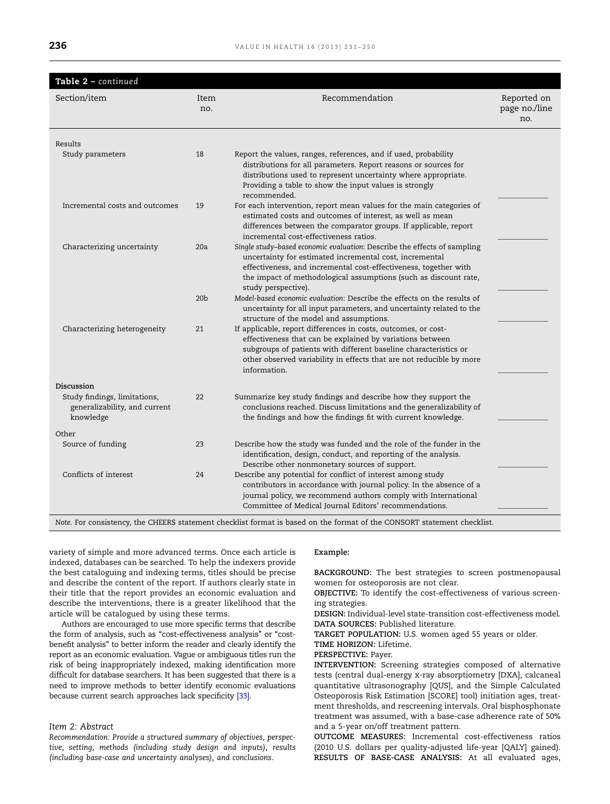| Table 2 - continued                                                        |                 |                                                                                                                                                                                                                                                                                                    |                                     |
|----------------------------------------------------------------------------|-----------------|----------------------------------------------------------------------------------------------------------------------------------------------------------------------------------------------------------------------------------------------------------------------------------------------------|-------------------------------------|
| Section/item                                                               | Item<br>no.     | Recommendation                                                                                                                                                                                                                                                                                     | Reported on<br>page no./line<br>no. |
| Results                                                                    |                 |                                                                                                                                                                                                                                                                                                    |                                     |
| Study parameters                                                           | 18              | Report the values, ranges, references, and if used, probability<br>distributions for all parameters. Report reasons or sources for<br>distributions used to represent uncertainty where appropriate.<br>Providing a table to show the input values is strongly<br>recommended.                     |                                     |
| Incremental costs and outcomes                                             | 19              | For each intervention, report mean values for the main categories of<br>estimated costs and outcomes of interest, as well as mean<br>differences between the comparator groups. If applicable, report<br>incremental cost-effectiveness ratios.                                                    |                                     |
| Characterizing uncertainty                                                 | 20a             | Single study-based economic evaluation: Describe the effects of sampling<br>uncertainty for estimated incremental cost, incremental<br>effectiveness, and incremental cost-effectiveness, together with<br>the impact of methodological assumptions (such as discount rate,<br>study perspective). |                                     |
|                                                                            | 20 <sub>b</sub> | Model-based economic evaluation: Describe the effects on the results of<br>uncertainty for all input parameters, and uncertainty related to the<br>structure of the model and assumptions.                                                                                                         |                                     |
| Characterizing heterogeneity                                               | 21              | If applicable, report differences in costs, outcomes, or cost-<br>effectiveness that can be explained by variations between<br>subgroups of patients with different baseline characteristics or<br>other observed variability in effects that are not reducible by more<br>information.            |                                     |
| Discussion                                                                 |                 |                                                                                                                                                                                                                                                                                                    |                                     |
| Study findings, limitations,<br>generalizability, and current<br>knowledge | 22              | Summarize key study findings and describe how they support the<br>conclusions reached. Discuss limitations and the generalizability of<br>the findings and how the findings fit with current knowledge.                                                                                            |                                     |
| Other                                                                      |                 |                                                                                                                                                                                                                                                                                                    |                                     |
| Source of funding                                                          | 23              | Describe how the study was funded and the role of the funder in the<br>identification, design, conduct, and reporting of the analysis.<br>Describe other nonmonetary sources of support.                                                                                                           |                                     |
| Conflicts of interest                                                      | 24              | Describe any potential for conflict of interest among study<br>contributors in accordance with journal policy. In the absence of a<br>journal policy, we recommend authors comply with International<br>Committee of Medical Journal Editors' recommendations.                                     |                                     |

Note. For consistency, the CHEERS statement checklist format is based on the format of the CONSORT statement checklist.

variety of simple and more advanced terms. Once each article is indexed, databases can be searched. To help the indexers provide the best cataloguing and indexing terms, titles should be precise and describe the content of the report. If authors clearly state in their title that the report provides an economic evaluation and describe the interventions, there is a greater likelihood that the article will be catalogued by using these terms.

Authors are encouraged to use more specific terms that describe the form of analysis, such as "cost-effectiveness analysis" or "costbenefit analysis'' to better inform the reader and clearly identify the report as an economic evaluation. Vague or ambiguous titles run the risk of being inappropriately indexed, making identification more difficult for database searchers. It has been suggested that there is a need to improve methods to better identify economic evaluations because current search approaches lack specificity [\[33\].](#page-16-0)

## Item 2: Abstract

Recommendation: Provide a structured summary of objectives, perspective, setting, methods (including study design and inputs), results (including base-case and uncertainty analyses), and conclusions.

#### Example:

BACKGROUND: The best strategies to screen postmenopausal women for osteoporosis are not clear.

OBJECTIVE: To identify the cost-effectiveness of various screening strategies.

DESIGN: Individual-level state-transition cost-effectiveness model. DATA SOURCES: Published literature.

TARGET POPULATION: U.S. women aged 55 years or older. TIME HORIZON: Lifetime.

PERSPECTIVE: Payer.

INTERVENTION: Screening strategies composed of alternative tests (central dual-energy x-ray absorptiometry [DXA], calcaneal quantitative ultrasonography [QUS], and the Simple Calculated Osteoporosis Risk Estimation [SCORE] tool) initiation ages, treatment thresholds, and rescreening intervals. Oral bisphosphonate treatment was assumed, with a base-case adherence rate of 50% and a 5-year on/off treatment pattern.

OUTCOME MEASURES: Incremental cost-effectiveness ratios (2010 U.S. dollars per quality-adjusted life-year [QALY] gained). RESULTS OF BASE-CASE ANALYSIS: At all evaluated ages,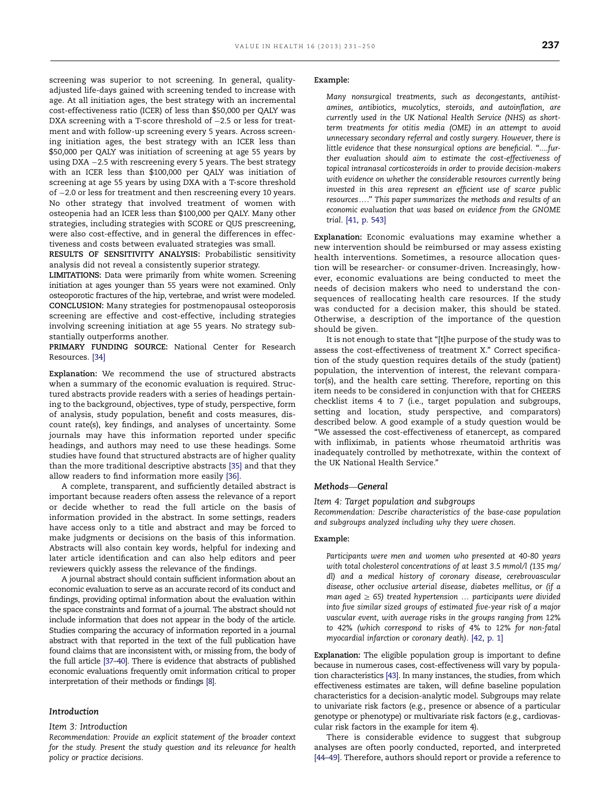screening was superior to not screening. In general, qualityadjusted life-days gained with screening tended to increase with age. At all initiation ages, the best strategy with an incremental cost-effectiveness ratio (ICER) of less than \$50,000 per QALY was DXA screening with a T-score threshold of –2.5 or less for treatment and with follow-up screening every 5 years. Across screening initiation ages, the best strategy with an ICER less than \$50,000 per QALY was initiation of screening at age 55 years by using DXA -2.5 with rescreening every 5 years. The best strategy with an ICER less than \$100,000 per QALY was initiation of screening at age 55 years by using DXA with a T-score threshold of –2.0 or less for treatment and then rescreening every 10 years. No other strategy that involved treatment of women with osteopenia had an ICER less than \$100,000 per QALY. Many other strategies, including strategies with SCORE or QUS prescreening, were also cost-effective, and in general the differences in effectiveness and costs between evaluated strategies was small.

RESULTS OF SENSITIVITY ANALYSIS: Probabilistic sensitivity analysis did not reveal a consistently superior strategy.

LIMITATIONS: Data were primarily from white women. Screening initiation at ages younger than 55 years were not examined. Only osteoporotic fractures of the hip, vertebrae, and wrist were modeled. CONCLUSION: Many strategies for postmenopausal osteoporosis screening are effective and cost-effective, including strategies involving screening initiation at age 55 years. No strategy substantially outperforms another.

PRIMARY FUNDING SOURCE: National Center for Research Resources. [\[34\]](#page-16-0)

Explanation: We recommend the use of structured abstracts when a summary of the economic evaluation is required. Structured abstracts provide readers with a series of headings pertaining to the background, objectives, type of study, perspective, form of analysis, study population, benefit and costs measures, discount rate(s), key findings, and analyses of uncertainty. Some journals may have this information reported under specific headings, and authors may need to use these headings. Some studies have found that structured abstracts are of higher quality than the more traditional descriptive abstracts [\[35\]](#page-17-0) and that they allow readers to find information more easily [\[36\]](#page-17-0).

A complete, transparent, and sufficiently detailed abstract is important because readers often assess the relevance of a report or decide whether to read the full article on the basis of information provided in the abstract. In some settings, readers have access only to a title and abstract and may be forced to make judgments or decisions on the basis of this information. Abstracts will also contain key words, helpful for indexing and later article identification and can also help editors and peer reviewers quickly assess the relevance of the findings.

A journal abstract should contain sufficient information about an economic evaluation to serve as an accurate record of its conduct and findings, providing optimal information about the evaluation within the space constraints and format of a journal. The abstract should not include information that does not appear in the body of the article. Studies comparing the accuracy of information reported in a journal abstract with that reported in the text of the full publication have found claims that are inconsistent with, or missing from, the body of the full article [\[37–40\]](#page-17-0). There is evidence that abstracts of published economic evaluations frequently omit information critical to proper interpretation of their methods or findings [\[8\].](#page-16-0)

## Introduction

### Item 3: Introduction

Recommendation: Provide an explicit statement of the broader context for the study. Present the study question and its relevance for health policy or practice decisions.

#### Example:

Many nonsurgical treatments, such as decongestants, antihistamines, antibiotics, mucolytics, steroids, and autoinflation, are currently used in the UK National Health Service (NHS) as shortterm treatments for otitis media (OME) in an attempt to avoid unnecessary secondary referral and costly surgery. However, there is little evidence that these nonsurgical options are beneficial. ''....further evaluation should aim to estimate the cost-effectiveness of topical intranasal corticosteroids in order to provide decision-makers with evidence on whether the considerable resources currently being invested in this area represent an efficient use of scarce public resources...." This paper summarizes the methods and results of an economic evaluation that was based on evidence from the GNOME trial. [\[41, p. 543\]](#page-17-0)

Explanation: Economic evaluations may examine whether a new intervention should be reimbursed or may assess existing health interventions. Sometimes, a resource allocation question will be researcher- or consumer-driven. Increasingly, however, economic evaluations are being conducted to meet the needs of decision makers who need to understand the consequences of reallocating health care resources. If the study was conducted for a decision maker, this should be stated. Otherwise, a description of the importance of the question should be given.

It is not enough to state that ''[t]he purpose of the study was to assess the cost-effectiveness of treatment X.'' Correct specification of the study question requires details of the study (patient) population, the intervention of interest, the relevant comparator(s), and the health care setting. Therefore, reporting on this item needs to be considered in conjunction with that for CHEERS checklist items 4 to 7 (i.e., target population and subgroups, setting and location, study perspective, and comparators) described below. A good example of a study question would be ''We assessed the cost-effectiveness of etanercept, as compared with infliximab, in patients whose rheumatoid arthritis was inadequately controlled by methotrexate, within the context of the UK National Health Service.''

#### Methods—General

Item 4: Target population and subgroups

Recommendation: Describe characteristics of the base-case population and subgroups analyzed including why they were chosen.

#### Example:

Participants were men and women who presented at 40-80 years with total cholesterol concentrations of at least 3.5 mmol/l (135 mg/ dl) and a medical history of coronary disease, cerebrovascular disease, other occlusive arterial disease, diabetes mellitus, or (if a man aged  $\geq$  65) treated hypertension  $\ldots$  participants were divided into five similar sized groups of estimated five-year risk of a major vascular event, with average risks in the groups ranging from 12% to 42% (which correspond to risks of 4% to 12% for non-fatal myocardial infarction or coronary death). [\[42, p. 1\]](#page-17-0)

Explanation: The eligible population group is important to define because in numerous cases, cost-effectiveness will vary by population characteristics [\[43\]](#page-17-0). In many instances, the studies, from which effectiveness estimates are taken, will define baseline population characteristics for a decision-analytic model. Subgroups may relate to univariate risk factors (e.g., presence or absence of a particular genotype or phenotype) or multivariate risk factors (e.g., cardiovascular risk factors in the example for item 4).

There is considerable evidence to suggest that subgroup analyses are often poorly conducted, reported, and interpreted [\[44–49\]](#page-17-0). Therefore, authors should report or provide a reference to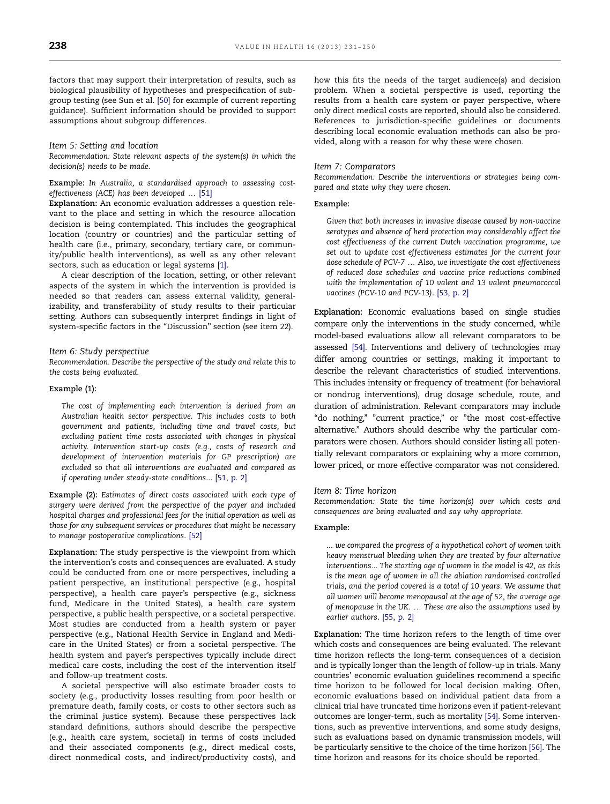factors that may support their interpretation of results, such as biological plausibility of hypotheses and prespecification of subgroup testing (see Sun et al. [\[50\]](#page-17-0) for example of current reporting guidance). Sufficient information should be provided to support assumptions about subgroup differences.

## Item 5: Setting and location

Recommendation: State relevant aspects of the system(s) in which the decision(s) needs to be made.

Example: In Australia, a standardised approach to assessing cost-effectiveness (ACE) has been developed ... [\[51\]](#page-17-0)

Explanation: An economic evaluation addresses a question relevant to the place and setting in which the resource allocation decision is being contemplated. This includes the geographical location (country or countries) and the particular setting of health care (i.e., primary, secondary, tertiary care, or community/public health interventions), as well as any other relevant sectors, such as education or legal systems [\[1\]](#page-16-0).

A clear description of the location, setting, or other relevant aspects of the system in which the intervention is provided is needed so that readers can assess external validity, generalizability, and transferability of study results to their particular setting. Authors can subsequently interpret findings in light of system-specific factors in the ''Discussion'' section (see item 22).

#### Item 6: Study perspective

Recommendation: Describe the perspective of the study and relate this to the costs being evaluated.

## Example (1):

The cost of implementing each intervention is derived from an Australian health sector perspective. This includes costs to both government and patients, including time and travel costs, but excluding patient time costs associated with changes in physical activity. Intervention start-up costs (e.g., costs of research and development of intervention materials for GP prescription) are excluded so that all interventions are evaluated and compared as if operating under steady-state conditions... [\[51, p. 2\]](#page-17-0)

Example (2): Estimates of direct costs associated with each type of surgery were derived from the perspective of the payer and included hospital charges and professional fees for the initial operation as well as those for any subsequent services or procedures that might be necessary to manage postoperative complications. [\[52\]](#page-17-0)

Explanation: The study perspective is the viewpoint from which the intervention's costs and consequences are evaluated. A study could be conducted from one or more perspectives, including a patient perspective, an institutional perspective (e.g., hospital perspective), a health care payer's perspective (e.g., sickness fund, Medicare in the United States), a health care system perspective, a public health perspective, or a societal perspective. Most studies are conducted from a health system or payer perspective (e.g., National Health Service in England and Medicare in the United States) or from a societal perspective. The health system and payer's perspectives typically include direct medical care costs, including the cost of the intervention itself and follow-up treatment costs.

A societal perspective will also estimate broader costs to society (e.g., productivity losses resulting from poor health or premature death, family costs, or costs to other sectors such as the criminal justice system). Because these perspectives lack standard definitions, authors should describe the perspective (e.g., health care system, societal) in terms of costs included and their associated components (e.g., direct medical costs, direct nonmedical costs, and indirect/productivity costs), and

how this fits the needs of the target audience(s) and decision problem. When a societal perspective is used, reporting the results from a health care system or payer perspective, where only direct medical costs are reported, should also be considered. References to jurisdiction-specific guidelines or documents describing local economic evaluation methods can also be provided, along with a reason for why these were chosen.

#### Item 7: Comparators

Recommendation: Describe the interventions or strategies being compared and state why they were chosen.

### Example:

Given that both increases in invasive disease caused by non-vaccine serotypes and absence of herd protection may considerably affect the cost effectiveness of the current Dutch vaccination programme, we set out to update cost effectiveness estimates for the current four dose schedule of PCV-7 ... Also, we investigate the cost effectiveness of reduced dose schedules and vaccine price reductions combined with the implementation of 10 valent and 13 valent pneumococcal vaccines (PCV-10 and PCV-13). [\[53, p. 2\]](#page-17-0)

Explanation: Economic evaluations based on single studies compare only the interventions in the study concerned, while model-based evaluations allow all relevant comparators to be assessed [\[54\]](#page-17-0). Interventions and delivery of technologies may differ among countries or settings, making it important to describe the relevant characteristics of studied interventions. This includes intensity or frequency of treatment (for behavioral or nondrug interventions), drug dosage schedule, route, and duration of administration. Relevant comparators may include "do nothing," "current practice," or "the most cost-effective alternative.'' Authors should describe why the particular comparators were chosen. Authors should consider listing all potentially relevant comparators or explaining why a more common, lower priced, or more effective comparator was not considered.

## Item 8: Time horizon

Recommendation: State the time horizon(s) over which costs and consequences are being evaluated and say why appropriate.

#### Example:

... we compared the progress of a hypothetical cohort of women with heavy menstrual bleeding when they are treated by four alternative interventions... The starting age of women in the model is 42, as this is the mean age of women in all the ablation randomised controlled trials, and the period covered is a total of 10 years. We assume that all women will become menopausal at the age of 52, the average age of menopause in the UK. ... These are also the assumptions used by earlier authors. [\[55, p. 2\]](#page-17-0)

Explanation: The time horizon refers to the length of time over which costs and consequences are being evaluated. The relevant time horizon reflects the long-term consequences of a decision and is typically longer than the length of follow-up in trials. Many countries' economic evaluation guidelines recommend a specific time horizon to be followed for local decision making. Often, economic evaluations based on individual patient data from a clinical trial have truncated time horizons even if patient-relevant outcomes are longer-term, such as mortality [\[54\]](#page-17-0). Some interventions, such as preventive interventions, and some study designs, such as evaluations based on dynamic transmission models, will be particularly sensitive to the choice of the time horizon [\[56\].](#page-17-0) The time horizon and reasons for its choice should be reported.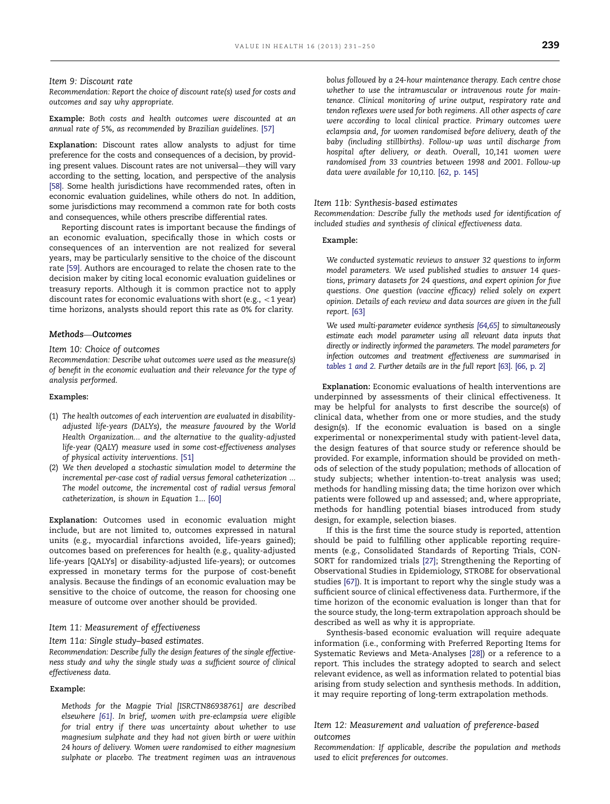#### Item 9: Discount rate

Recommendation: Report the choice of discount rate(s) used for costs and outcomes and say why appropriate.

Example: Both costs and health outcomes were discounted at an annual rate of 5%, as recommended by Brazilian guidelines. [\[57\]](#page-17-0)

Explanation: Discount rates allow analysts to adjust for time preference for the costs and consequences of a decision, by providing present values. Discount rates are not universal—they will vary according to the setting, location, and perspective of the analysis [\[58\]](#page-17-0). Some health jurisdictions have recommended rates, often in economic evaluation guidelines, while others do not. In addition, some jurisdictions may recommend a common rate for both costs and consequences, while others prescribe differential rates.

Reporting discount rates is important because the findings of an economic evaluation, specifically those in which costs or consequences of an intervention are not realized for several years, may be particularly sensitive to the choice of the discount rate [\[59\].](#page-17-0) Authors are encouraged to relate the chosen rate to the decision maker by citing local economic evaluation guidelines or treasury reports. Although it is common practice not to apply discount rates for economic evaluations with short (e.g.,  $<$  1 year) time horizons, analysts should report this rate as 0% for clarity.

#### Methods—Outcomes

## Item 10: Choice of outcomes

Recommendation: Describe what outcomes were used as the measure(s) of benefit in the economic evaluation and their relevance for the type of analysis performed.

#### Examples:

- (1) The health outcomes of each intervention are evaluated in disabilityadjusted life-years (DALYs), the measure favoured by the World Health Organization... and the alternative to the quality-adjusted life-year (QALY) measure used in some cost-effectiveness analyses of physical activity interventions. [\[51\]](#page-17-0)
- We then developed a stochastic simulation model to determine the incremental per-case cost of radial versus femoral catheterization ... The model outcome, the incremental cost of radial versus femoral catheterization, is shown in Equation 1... [\[60\]](#page-17-0)

Explanation: Outcomes used in economic evaluation might include, but are not limited to, outcomes expressed in natural units (e.g., myocardial infarctions avoided, life-years gained); outcomes based on preferences for health (e.g., quality-adjusted life-years [QALYs] or disability-adjusted life-years); or outcomes expressed in monetary terms for the purpose of cost-benefit analysis. Because the findings of an economic evaluation may be sensitive to the choice of outcome, the reason for choosing one measure of outcome over another should be provided.

## Item 11: Measurement of effectiveness

#### Item 11a: Single study–based estimates.

Recommendation: Describe fully the design features of the single effectiveness study and why the single study was a sufficient source of clinical effectiveness data.

#### Example:

Methods for the Magpie Trial [ISRCTN86938761] are described elsewhere [\[61\]](#page-17-0). In brief, women with pre-eclampsia were eligible for trial entry if there was uncertainty about whether to use magnesium sulphate and they had not given birth or were within 24 hours of delivery. Women were randomised to either magnesium sulphate or placebo. The treatment regimen was an intravenous bolus followed by a 24-hour maintenance therapy. Each centre chose whether to use the intramuscular or intravenous route for maintenance. Clinical monitoring of urine output, respiratory rate and tendon reflexes were used for both regimens. All other aspects of care were according to local clinical practice. Primary outcomes were eclampsia and, for women randomised before delivery, death of the baby (including stillbirths). Follow-up was until discharge from hospital after delivery, or death. Overall, 10,141 women were randomised from 33 countries between 1998 and 2001. Follow-up data were available for 10,110. [\[62, p. 145\]](#page-17-0)

## Item 11b: Synthesis-based estimates

Recommendation: Describe fully the methods used for identification of included studies and synthesis of clinical effectiveness data.

#### Example:

We conducted systematic reviews to answer 32 questions to inform model parameters. We used published studies to answer 14 questions, primary datasets for 24 questions, and expert opinion for five questions. One question (vaccine efficacy) relied solely on expert opinion. Details of each review and data sources are given in the full report. [\[63\]](#page-17-0)

We used multi-parameter evidence synthesis [\[64,65](#page-17-0)] to simultaneously estimate each model parameter using all relevant data inputs that directly or indirectly informed the parameters. The model parameters for infection outcomes and treatment effectiveness are summarised in [tables 1 and 2](#page-2-0). Further details are in the full report [\[63\]](#page-17-0). [\[66, p. 2\]](#page-17-0)

Explanation: Economic evaluations of health interventions are underpinned by assessments of their clinical effectiveness. It may be helpful for analysts to first describe the source(s) of clinical data, whether from one or more studies, and the study design(s). If the economic evaluation is based on a single experimental or nonexperimental study with patient-level data, the design features of that source study or reference should be provided. For example, information should be provided on methods of selection of the study population; methods of allocation of study subjects; whether intention-to-treat analysis was used; methods for handling missing data; the time horizon over which patients were followed up and assessed; and, where appropriate, methods for handling potential biases introduced from study design, for example, selection biases.

If this is the first time the source study is reported, attention should be paid to fulfilling other applicable reporting requirements (e.g., Consolidated Standards of Reporting Trials, CON-SORT for randomized trials [\[27\];](#page-16-0) Strengthening the Reporting of Observational Studies in Epidemiology, STROBE for observational studies [\[67\]\)](#page-17-0). It is important to report why the single study was a sufficient source of clinical effectiveness data. Furthermore, if the time horizon of the economic evaluation is longer than that for the source study, the long-term extrapolation approach should be described as well as why it is appropriate.

Synthesis-based economic evaluation will require adequate information (i.e., conforming with Preferred Reporting Items for Systematic Reviews and Meta-Analyses [\[28\]](#page-16-0)) or a reference to a report. This includes the strategy adopted to search and select relevant evidence, as well as information related to potential bias arising from study selection and synthesis methods. In addition, it may require reporting of long-term extrapolation methods.

## Item 12: Measurement and valuation of preference-based outcomes

Recommendation: If applicable, describe the population and methods used to elicit preferences for outcomes.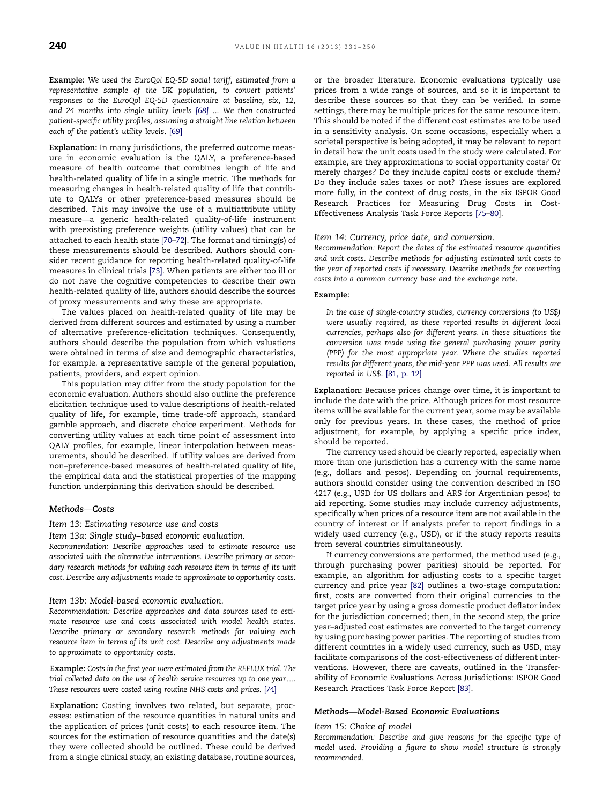Example: We used the EuroQol EQ-5D social tariff, estimated from a representative sample of the UK population, to convert patients' responses to the EuroQol EQ-5D questionnaire at baseline, six, 12, and 24 months into single utility levels [\[68\]](#page-17-0) ... We then constructed patient-specific utility profiles, assuming a straight line relation between each of the patient's utility levels. [\[69\]](#page-17-0)

Explanation: In many jurisdictions, the preferred outcome measure in economic evaluation is the QALY, a preference-based measure of health outcome that combines length of life and health-related quality of life in a single metric. The methods for measuring changes in health-related quality of life that contribute to QALYs or other preference-based measures should be described. This may involve the use of a multiattribute utility measure—a generic health-related quality-of-life instrument with preexisting preference weights (utility values) that can be attached to each health state [\[70–72\]](#page-17-0). The format and timing(s) of these measurements should be described. Authors should consider recent guidance for reporting health-related quality-of-life measures in clinical trials [\[73\]](#page-17-0). When patients are either too ill or do not have the cognitive competencies to describe their own health-related quality of life, authors should describe the sources of proxy measurements and why these are appropriate.

The values placed on health-related quality of life may be derived from different sources and estimated by using a number of alternative preference-elicitation techniques. Consequently, authors should describe the population from which valuations were obtained in terms of size and demographic characteristics, for example. a representative sample of the general population, patients, providers, and expert opinion.

This population may differ from the study population for the economic evaluation. Authors should also outline the preference elicitation technique used to value descriptions of health-related quality of life, for example, time trade-off approach, standard gamble approach, and discrete choice experiment. Methods for converting utility values at each time point of assessment into QALY profiles, for example, linear interpolation between measurements, should be described. If utility values are derived from non–preference-based measures of health-related quality of life, the empirical data and the statistical properties of the mapping function underpinning this derivation should be described.

## Methods—Costs

#### Item 13: Estimating resource use and costs

## Item 13a: Single study–based economic evaluation.

Recommendation: Describe approaches used to estimate resource use associated with the alternative interventions. Describe primary or secondary research methods for valuing each resource item in terms of its unit cost. Describe any adjustments made to approximate to opportunity costs.

#### Item 13b: Model-based economic evaluation.

Recommendation: Describe approaches and data sources used to estimate resource use and costs associated with model health states. Describe primary or secondary research methods for valuing each resource item in terms of its unit cost. Describe any adjustments made to approximate to opportunity costs.

Example: Costs in the first year were estimated from the REFLUX trial. The trial collected data on the use of health service resources up to one year.... These resources were costed using routine NHS costs and prices. [\[74\]](#page-17-0)

Explanation: Costing involves two related, but separate, processes: estimation of the resource quantities in natural units and the application of prices (unit costs) to each resource item. The sources for the estimation of resource quantities and the date(s) they were collected should be outlined. These could be derived from a single clinical study, an existing database, routine sources,

or the broader literature. Economic evaluations typically use prices from a wide range of sources, and so it is important to describe these sources so that they can be verified. In some settings, there may be multiple prices for the same resource item. This should be noted if the different cost estimates are to be used in a sensitivity analysis. On some occasions, especially when a societal perspective is being adopted, it may be relevant to report in detail how the unit costs used in the study were calculated. For example, are they approximations to social opportunity costs? Or merely charges? Do they include capital costs or exclude them? Do they include sales taxes or not? These issues are explored more fully, in the context of drug costs, in the six ISPOR Good Research Practices for Measuring Drug Costs in Cost-Effectiveness Analysis Task Force Reports [\[75–80\]](#page-17-0).

#### Item 14: Currency, price date, and conversion.

Recommendation: Report the dates of the estimated resource quantities and unit costs. Describe methods for adjusting estimated unit costs to the year of reported costs if necessary. Describe methods for converting costs into a common currency base and the exchange rate.

## Example:

In the case of single-country studies, currency conversions (to US\$) were usually required, as these reported results in different local currencies, perhaps also for different years. In these situations the conversion was made using the general purchasing power parity (PPP) for the most appropriate year. Where the studies reported results for different years, the mid-year PPP was used. All results are reported in US\$. [\[81, p. 12\]](#page-17-0)

Explanation: Because prices change over time, it is important to include the date with the price. Although prices for most resource items will be available for the current year, some may be available only for previous years. In these cases, the method of price adjustment, for example, by applying a specific price index, should be reported.

The currency used should be clearly reported, especially when more than one jurisdiction has a currency with the same name (e.g., dollars and pesos). Depending on journal requirements, authors should consider using the convention described in ISO 4217 (e.g., USD for US dollars and ARS for Argentinian pesos) to aid reporting. Some studies may include currency adjustments, specifically when prices of a resource item are not available in the country of interest or if analysts prefer to report findings in a widely used currency (e.g., USD), or if the study reports results from several countries simultaneously.

If currency conversions are performed, the method used (e.g., through purchasing power parities) should be reported. For example, an algorithm for adjusting costs to a specific target currency and price year [\[82\]](#page-17-0) outlines a two-stage computation: first, costs are converted from their original currencies to the target price year by using a gross domestic product deflator index for the jurisdiction concerned; then, in the second step, the price year–adjusted cost estimates are converted to the target currency by using purchasing power parities. The reporting of studies from different countries in a widely used currency, such as USD, may facilitate comparisons of the cost-effectiveness of different interventions. However, there are caveats, outlined in the Transferability of Economic Evaluations Across Jurisdictions: ISPOR Good Research Practices Task Force Report [\[83\].](#page-17-0)

## Methods—Model-Based Economic Evaluations

### Item 15: Choice of model

Recommendation: Describe and give reasons for the specific type of model used. Providing a figure to show model structure is strongly recommended.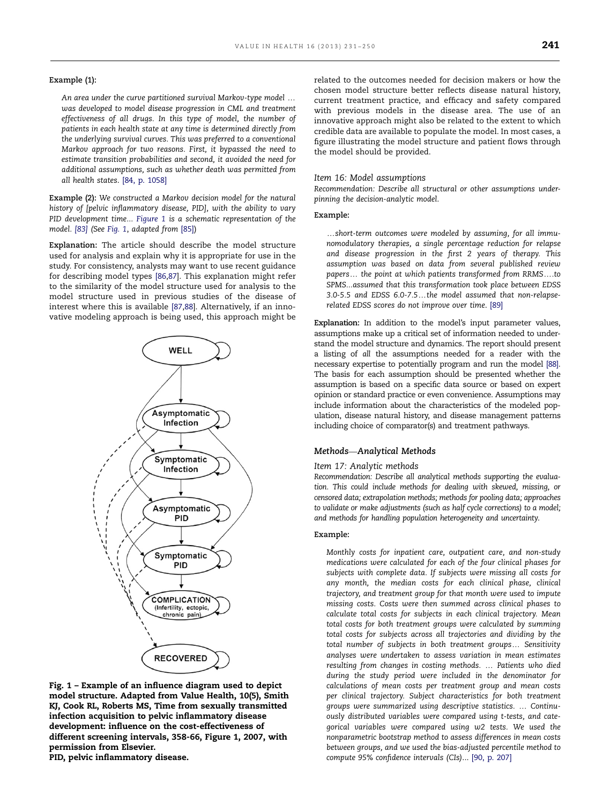#### Example (1):

An area under the curve partitioned survival Markov-type model ... was developed to model disease progression in CML and treatment effectiveness of all drugs. In this type of model, the number of patients in each health state at any time is determined directly from the underlying survival curves. This was preferred to a conventional Markov approach for two reasons. First, it bypassed the need to estimate transition probabilities and second, it avoided the need for additional assumptions, such as whether death was permitted from all health states. [\[84, p. 1058\]](#page-18-0)

Example (2): We constructed a Markov decision model for the natural history of [pelvic inflammatory disease, PID], with the ability to vary PID development time... Figure 1 is a schematic representation of the model. [\[83\]](#page-17-0) (See Fig. 1, adapted from [\[85\]](#page-18-0))

Explanation: The article should describe the model structure used for analysis and explain why it is appropriate for use in the study. For consistency, analysts may want to use recent guidance for describing model types [\[86,87](#page-18-0)]. This explanation might refer to the similarity of the model structure used for analysis to the model structure used in previous studies of the disease of interest where this is available [\[87,88](#page-18-0)]. Alternatively, if an innovative modeling approach is being used, this approach might be



Fig. 1 – Example of an influence diagram used to depict model structure. Adapted from Value Health, 10(5), Smith KJ, Cook RL, Roberts MS, Time from sexually transmitted infection acquisition to pelvic inflammatory disease development: influence on the cost-effectiveness of different screening intervals, 358-66, Figure 1, 2007, with permission from Elsevier.

PID, pelvic inflammatory disease.

related to the outcomes needed for decision makers or how the chosen model structure better reflects disease natural history, current treatment practice, and efficacy and safety compared with previous models in the disease area. The use of an innovative approach might also be related to the extent to which credible data are available to populate the model. In most cases, a figure illustrating the model structure and patient flows through the model should be provided.

### Item 16: Model assumptions

Recommendation: Describe all structural or other assumptions underpinning the decision-analytic model.

#### Example:

...short-term outcomes were modeled by assuming, for all immunomodulatory therapies, a single percentage reduction for relapse and disease progression in the first 2 years of therapy. This assumption was based on data from several published review papers... the point at which patients transformed from RRMS....to SPMS...assumed that this transformation took place between EDSS 3.0-5.5 and EDSS 6.0-7.5...the model assumed that non-relapserelated EDSS scores do not improve over time. [\[89\]](#page-18-0)

Explanation: In addition to the model's input parameter values, assumptions make up a critical set of information needed to understand the model structure and dynamics. The report should present a listing of all the assumptions needed for a reader with the necessary expertise to potentially program and run the model [\[88\].](#page-18-0) The basis for each assumption should be presented whether the assumption is based on a specific data source or based on expert opinion or standard practice or even convenience. Assumptions may include information about the characteristics of the modeled population, disease natural history, and disease management patterns including choice of comparator(s) and treatment pathways.

#### Methods—Analytical Methods

#### Item 17: Analytic methods

Recommendation: Describe all analytical methods supporting the evaluation. This could include methods for dealing with skewed, missing, or censored data; extrapolation methods; methods for pooling data; approaches to validate or make adjustments (such as half cycle corrections) to a model; and methods for handling population heterogeneity and uncertainty.

#### Example:

Monthly costs for inpatient care, outpatient care, and non-study medications were calculated for each of the four clinical phases for subjects with complete data. If subjects were missing all costs for any month, the median costs for each clinical phase, clinical trajectory, and treatment group for that month were used to impute missing costs. Costs were then summed across clinical phases to calculate total costs for subjects in each clinical trajectory. Mean total costs for both treatment groups were calculated by summing total costs for subjects across all trajectories and dividing by the total number of subjects in both treatment groups... Sensitivity analyses were undertaken to assess variation in mean estimates resulting from changes in costing methods. ... Patients who died during the study period were included in the denominator for calculations of mean costs per treatment group and mean costs per clinical trajectory. Subject characteristics for both treatment groups were summarized using descriptive statistics. ... Continuously distributed variables were compared using t-tests, and categorical variables were compared using w2 tests. We used the nonparametric bootstrap method to assess differences in mean costs between groups, and we used the bias-adjusted percentile method to compute 95% confidence intervals (CIs)... [\[90, p. 207\]](#page-18-0)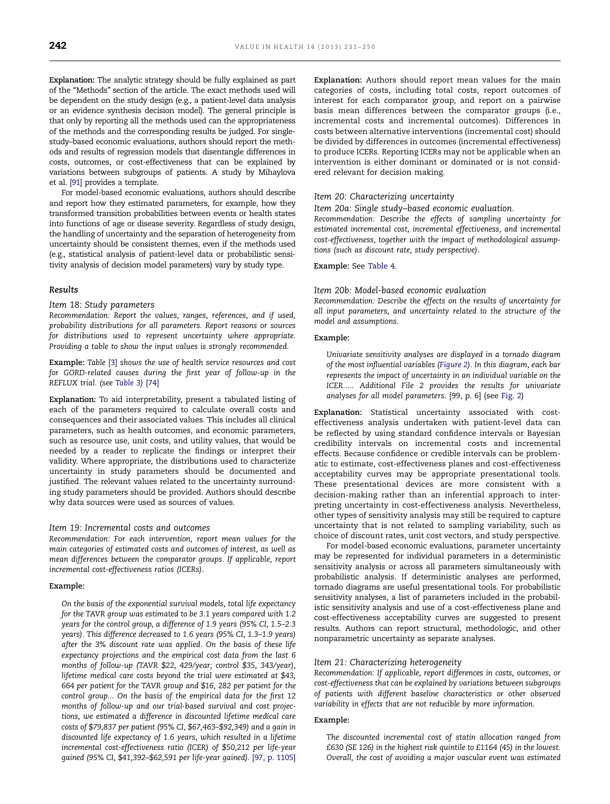Explanation: The analytic strategy should be fully explained as part of the ''Methods'' section of the article. The exact methods used will be dependent on the study design (e.g., a patient-level data analysis or an evidence synthesis decision model). The general principle is that only by reporting all the methods used can the appropriateness of the methods and the corresponding results be judged. For singlestudy–based economic evaluations, authors should report the methods and results of regression models that disentangle differences in costs, outcomes, or cost-effectiveness that can be explained by variations between subgroups of patients. A study by Mihaylova et al. [\[91\]](#page-18-0) provides a template.

For model-based economic evaluations, authors should describe and report how they estimated parameters, for example, how they transformed transition probabilities between events or health states into functions of age or disease severity. Regardless of study design, the handling of uncertainty and the separation of heterogeneity from uncertainty should be consistent themes, even if the methods used (e.g., statistical analysis of patient-level data or probabilistic sensitivity analysis of decision model parameters) vary by study type.

#### Results

#### Item 18: Study parameters

Recommendation: Report the values, ranges, references, and if used, probability distributions for all parameters. Report reasons or sources for distributions used to represent uncertainty where appropriate. Providing a table to show the input values is strongly recommended.

Example: Table [\[3\]](#page-16-0) shows the use of health service resources and cost for GORD-related causes during the first year of follow-up in the REFLUX trial. (see [Table 3\)](#page-12-0) [\[74\]](#page-17-0)

Explanation: To aid interpretability, present a tabulated listing of each of the parameters required to calculate overall costs and consequences and their associated values. This includes all clinical parameters, such as health outcomes, and economic parameters, such as resource use, unit costs, and utility values, that would be needed by a reader to replicate the findings or interpret their validity. Where appropriate, the distributions used to characterize uncertainty in study parameters should be documented and justified. The relevant values related to the uncertainty surrounding study parameters should be provided. Authors should describe why data sources were used as sources of values.

#### Item 19: Incremental costs and outcomes

Recommendation: For each intervention, report mean values for the main categories of estimated costs and outcomes of interest, as well as mean differences between the comparator groups. If applicable, report incremental cost-effectiveness ratios (ICERs).

#### Example:

On the basis of the exponential survival models, total life expectancy for the TAVR group was estimated to be 3.1 years compared with 1.2 years for the control group, a difference of 1.9 years (95% CI, 1.5–2.3 years). This difference decreased to 1.6 years (95% CI, 1.3–1.9 years) after the 3% discount rate was applied. On the basis of these life expectancy projections and the empirical cost data from the last 6 months of follow-up (TAVR \$22, 429/year; control \$35, 343/year), lifetime medical care costs beyond the trial were estimated at \$43, 664 per patient for the TAVR group and \$16, 282 per patient for the control group... On the basis of the empirical data for the first 12 months of follow-up and our trial-based survival and cost projections, we estimated a difference in discounted lifetime medical care costs of \$79,837 per patient (95% CI, \$67,463–\$92,349) and a gain in discounted life expectancy of 1.6 years, which resulted in a lifetime incremental cost-effectiveness ratio (ICER) of \$50,212 per life-year gained (95% CI, \$41,392–\$62,591 per life-year gained). [\[97, p. 1105\]](#page-18-0)

Explanation: Authors should report mean values for the main categories of costs, including total costs, report outcomes of interest for each comparator group, and report on a pairwise basis mean differences between the comparator groups (i.e., incremental costs and incremental outcomes). Differences in costs between alternative interventions (incremental cost) should be divided by differences in outcomes (incremental effectiveness) to produce ICERs. Reporting ICERs may not be applicable when an intervention is either dominant or dominated or is not considered relevant for decision making.

#### Item 20: Characterizing uncertainty

Item 20a: Single study–based economic evaluation.

Recommendation: Describe the effects of sampling uncertainty for estimated incremental cost, incremental effectiveness, and incremental cost-effectiveness, together with the impact of methodological assumptions (such as discount rate, study perspective).

## Example: See [Table 4](#page-13-0).

## Item 20b: Model-based economic evaluation

Recommendation: Describe the effects on the results of uncertainty for all input parameters, and uncertainty related to the structure of the model and assumptions.

## Example:

Univariate sensitivity analyses are displayed in a tornado diagram of the most influential variables [\(Figure 2\)](#page-13-0). In this diagram, each bar represents the impact of uncertainty in an individual variable on the ICER..... Additional File 2 provides the results for univariate analyses for all model parameters. [99, p. 6] (see [Fig. 2\)](#page-13-0)

Explanation: Statistical uncertainty associated with costeffectiveness analysis undertaken with patient-level data can be reflected by using standard confidence intervals or Bayesian credibility intervals on incremental costs and incremental effects. Because confidence or credible intervals can be problematic to estimate, cost-effectiveness planes and cost-effectiveness acceptability curves may be appropriate presentational tools. These presentational devices are more consistent with a decision-making rather than an inferential approach to interpreting uncertainty in cost-effectiveness analysis. Nevertheless, other types of sensitivity analysis may still be required to capture uncertainty that is not related to sampling variability, such as choice of discount rates, unit cost vectors, and study perspective.

For model-based economic evaluations, parameter uncertainty may be represented for individual parameters in a deterministic sensitivity analysis or across all parameters simultaneously with probabilistic analysis. If deterministic analyses are performed, tornado diagrams are useful presentational tools. For probabilistic sensitivity analyses, a list of parameters included in the probabilistic sensitivity analysis and use of a cost-effectiveness plane and cost-effectiveness acceptability curves are suggested to present results. Authors can report structural, methodologic, and other nonparametric uncertainty as separate analyses.

#### Item 21: Characterizing heterogeneity

Recommendation: If applicable, report differences in costs, outcomes, or cost-effectiveness that can be explained by variations between subgroups of patients with different baseline characteristics or other observed variability in effects that are not reducible by more information.

## Example:

The discounted incremental cost of statin allocation ranged from £630 (SE 126) in the highest risk quintile to £1164 (45) in the lowest. Overall, the cost of avoiding a major vascular event was estimated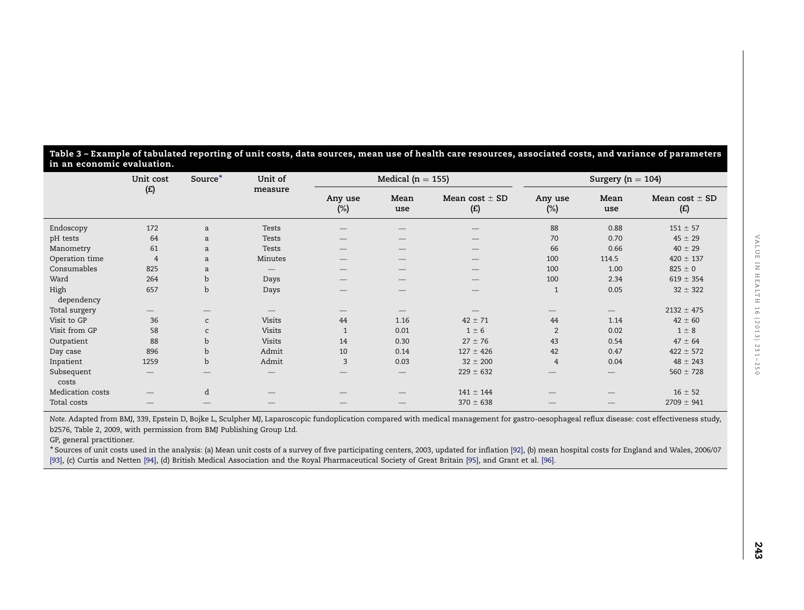## <span id="page-12-0"></span>Table 3 – Example of tabulated reporting of unit costs, data sources, mean use of health care resources, associated costs, and variance of parameters in an economic evaluation.

|                     | Source*<br>Unit of<br>Unit cost |              |                                 |                | Medical $(n = 155)$ | Surgery ( $n = 104$ )     |                   |                                 |                           |
|---------------------|---------------------------------|--------------|---------------------------------|----------------|---------------------|---------------------------|-------------------|---------------------------------|---------------------------|
|                     | (E)                             |              | measure                         | Any use<br>(%) | Mean<br>use         | Mean cost $\pm$ SD<br>(E) | Any use<br>$(\%)$ | Mean<br>use                     | Mean cost $\pm$ SD<br>(f) |
| Endoscopy           | 172                             | a            | Tests                           |                | –                   |                           | 88                | 0.88                            | $151 \pm 57$              |
| pH tests            | 64                              | a            | Tests                           | –              |                     | –                         | 70                | 0.70                            | $45 \pm 29$               |
| Manometry           | 61                              | a            | Tests                           |                |                     |                           | 66                | 0.66                            | $40 \pm 29$               |
| Operation time      | $\overline{4}$                  | a            | Minutes                         |                |                     |                           | 100               | 114.5                           | $420 \pm 137$             |
| Consumables         | 825                             | a            | $\hspace{0.1mm}-\hspace{0.1mm}$ |                |                     |                           | 100               | 1.00                            | $825 \pm 0$               |
| Ward                | 264                             | $\mathbf b$  | Days                            |                |                     | –                         | 100               | 2.34                            | $619 \pm 354$             |
| High                | 657                             | $\mathbf b$  | Days                            |                |                     |                           | $\mathbf{1}$      | 0.05                            | $32 \pm 322$              |
| dependency          |                                 |              |                                 |                |                     |                           |                   |                                 |                           |
| Total surgery       | $\hspace{0.1mm}-\hspace{0.1mm}$ |              |                                 |                |                     |                           |                   |                                 | $2132 \pm 475$            |
| Visit to GP         | 36                              | $\mathsf{C}$ | Visits                          | 44             | 1.16                | $42 \pm 71$               | 44                | 1.14                            | $42 \pm 60$               |
| Visit from GP       | 58                              | $\mathsf{C}$ | Visits                          | $\mathbf{1}$   | 0.01                | $1 \pm 6$                 | $\overline{2}$    | 0.02                            | $1 \pm 8$                 |
| Outpatient          | 88                              | $\mathbf b$  | <b>Visits</b>                   | 14             | 0.30                | $27 \pm 76$               | 43                | 0.54                            | $47 \pm 64$               |
| Day case            | 896                             | b            | Admit                           | 10             | 0.14                | $127 \pm 426$             | 42                | 0.47                            | $422 \pm 572$             |
| Inpatient           | 1259                            | $\mathbf b$  | Admit                           | 3              | 0.03                | $32 \pm 200$              | $\overline{4}$    | 0.04                            | $48 \pm 243$              |
| Subsequent<br>costs | $\hspace{0.1mm}-\hspace{0.1mm}$ |              |                                 |                |                     | $229 \pm 632$             | $-$               | $\hspace{0.1mm}-\hspace{0.1mm}$ | $560 \pm 728$             |
| Medication costs    |                                 | d            |                                 |                | –                   | $141 \pm 144$             |                   |                                 | $16 \pm 52$               |
| Total costs         |                                 |              |                                 |                | –                   | $370 \pm 638$             |                   |                                 | $2709 \pm 941$            |

Note. Adapted from BMJ, 339, Epstein D, Bojke L, Sculpher MJ, Laparoscopic fundoplication compared with medical management for gastro-oesophageal reflux disease: cost effectiveness study, b2576, Table 2, 2009, with permission from BMJ Publishing Group Ltd.

GP, general practitioner.

- Sources of unit costs used in the analysis: (a) Mean unit costs of <sup>a</sup> survey of five participating centers, 2003, updated for inflation [\[92\]](#page-18-0), (b) mean hospital costs for England and Wales, 2006/07 [\[93\]](#page-18-0), (c) Curtis and Netten [\[94\]](#page-18-0), (d) British Medical Association and the Royal Pharmaceutical Society of Great Britain [\[95\]](#page-18-0), and Grant et al. [\[96\]](#page-18-0).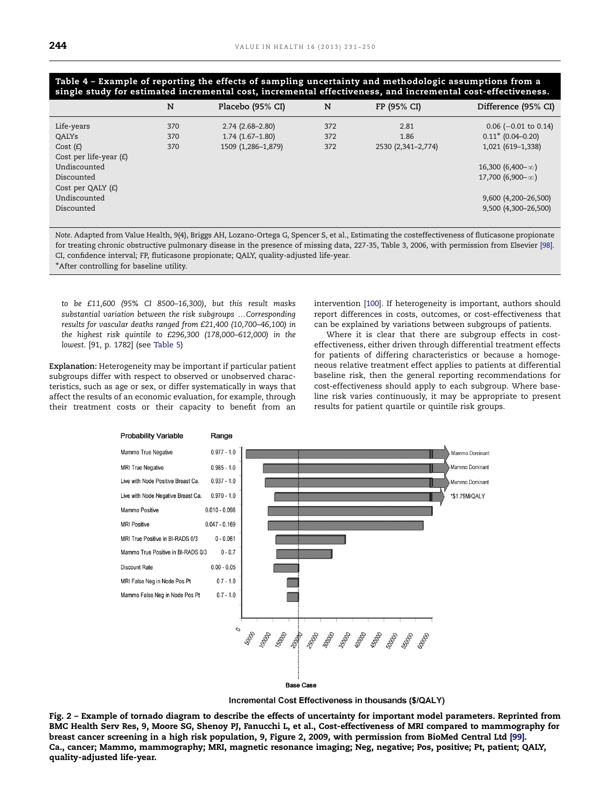## <span id="page-13-0"></span>Table 4 – Example of reporting the effects of sampling uncertainty and methodologic assumptions from a single study for estimated incremental cost, incremental effectiveness, and incremental cost-effectiveness.

|                          | N   | Placebo (95% CI)    | N   | FP (95% CI)        | Difference (95% CI)     |
|--------------------------|-----|---------------------|-----|--------------------|-------------------------|
| Life-years               | 370 | $2.74(2.68 - 2.80)$ | 372 | 2.81               | $0.06$ (-0.01 to 0.14)  |
| QALYs                    | 370 | $1.74(1.67-1.80)$   | 372 | 1.86               | $0.11*$ (0.04-0.20)     |
| Cost(f)                  | 370 | 1509 (1,286-1,879)  | 372 | 2530 (2,341-2,774) | 1,021 (619-1,338)       |
| Cost per life-year $(E)$ |     |                     |     |                    |                         |
| Undiscounted             |     |                     |     |                    | $16,300(6,400-\infty)$  |
| Discounted               |     |                     |     |                    | 17,700 $(6,900-\infty)$ |
| Cost per QALY $(E)$      |     |                     |     |                    |                         |
| Undiscounted             |     |                     |     |                    | 9,600 (4,200-26,500)    |
| Discounted               |     |                     |     |                    | 9,500 (4,300-26,500)    |
|                          |     |                     |     |                    |                         |

Note. Adapted from Value Health, 9(4), Briggs AH, Lozano-Ortega G, Spencer S, et al., Estimating the costeffectiveness of fluticasone propionate for treating chronic obstructive pulmonary disease in the presence of missing data, 227-35, Table 3, 2006, with permission from Elsevier [\[98\]](#page-18-0). CI, confidence interval; FP, fluticasone propionate; QALY, quality-adjusted life-year.

-After controlling for baseline utility.

to be £11,600 (95% CI 8500–16,300), but this result masks substantial variation between the risk subgroups ... Corresponding results for vascular deaths ranged from £21,400 (10,700–46,100) in the highest risk quintile to £296,300 (178,000–612,000) in the lowest. [91, p. 1782] (see [Table 5\)](#page-14-0)

Explanation: Heterogeneity may be important if particular patient subgroups differ with respect to observed or unobserved characteristics, such as age or sex, or differ systematically in ways that affect the results of an economic evaluation, for example, through their treatment costs or their capacity to benefit from an

intervention [\[100\]](#page-18-0). If heterogeneity is important, authors should report differences in costs, outcomes, or cost-effectiveness that can be explained by variations between subgroups of patients.

Where it is clear that there are subgroup effects in costeffectiveness, either driven through differential treatment effects for patients of differing characteristics or because a homogeneous relative treatment effect applies to patients at differential baseline risk, then the general reporting recommendations for cost-effectiveness should apply to each subgroup. Where baseline risk varies continuously, it may be appropriate to present results for patient quartile or quintile risk groups.



Incremental Cost Effectiveness in thousands (\$/QALY)

Fig. 2 – Example of tornado diagram to describe the effects of uncertainty for important model parameters. Reprinted from BMC Health Serv Res, 9, Moore SG, Shenoy PJ, Fanucchi L, et al., Cost-effectiveness of MRI compared to mammography for breast cancer screening in a high risk population, 9, Figure 2, 2009, with permission from BioMed Central Ltd [\[99\].](#page-18-0) Ca., cancer; Mammo, mammography; MRI, magnetic resonance imaging; Neg, negative; Pos, positive; Pt, patient; QALY, quality-adjusted life-year.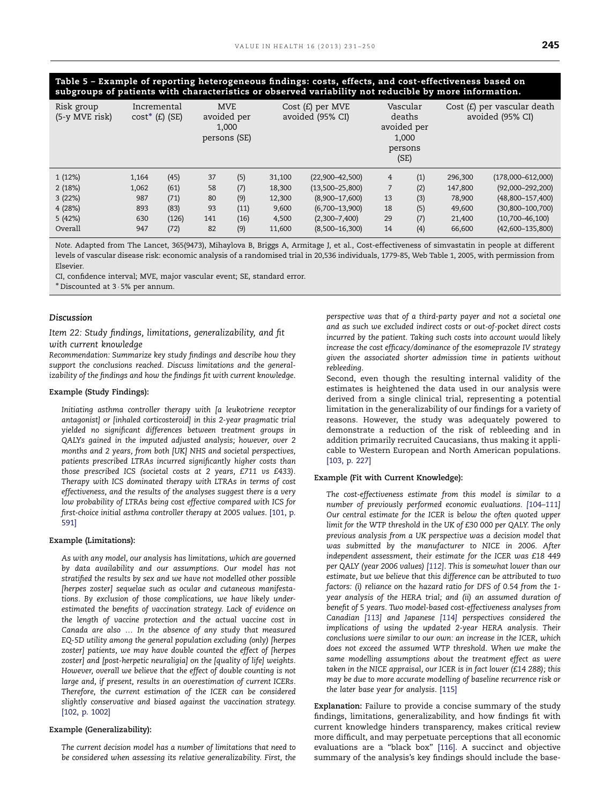<span id="page-14-0"></span>Table 5 – Example of reporting heterogeneous findings: costs, effects, and cost-effectiveness based on subgroups of patients with characteristics or observed variability not reducible by more information.

| Risk group<br>(5-y MVE risk) | Incremental<br>$cost^*(f)$ (SE) |       | <b>MVE</b><br>avoided per<br>1,000<br>persons (SE) |      |        | $Cost(E)$ per MVE<br>avoided (95% CI) |                | Vascular<br>deaths<br>avoided per<br>1,000<br>persons<br>(SE) |         | Cost (£) per vascular death<br>avoided (95% CI) |  |
|------------------------------|---------------------------------|-------|----------------------------------------------------|------|--------|---------------------------------------|----------------|---------------------------------------------------------------|---------|-------------------------------------------------|--|
| 1(12%)                       | 1,164                           | (45)  | 37                                                 | (5)  | 31,100 | $(22,900 - 42,500)$                   | $\overline{4}$ | (1)                                                           | 296,300 | $(178,000 - 612,000)$                           |  |
| 2(18%)                       | 1,062                           | (61)  | 58                                                 | (7)  | 18,300 | $(13,500 - 25,800)$                   | $\overline{7}$ | (2)                                                           | 147,800 | $(92,000 - 292,200)$                            |  |
| 3(22%)                       | 987                             | (71)  | 80                                                 | (9)  | 12,300 | $(8,900-17,600)$                      | 13             | (3)                                                           | 78,900  | $(48,800 - 157,400)$                            |  |
| 4(28%)                       | 893                             | (83)  | 93                                                 | (11) | 9,600  | $(6,700-13,900)$                      | 18             | (5)                                                           | 49,600  | $(30,800 - 100,700)$                            |  |
| 5(42%)                       | 630                             | (126) | 141                                                | (16) | 4,500  | $(2,300 - 7,400)$                     | 29             | (7)                                                           | 21,400  | $(10,700 - 46,100)$                             |  |
| Overall                      | 947                             | (72)  | 82                                                 | (9)  | 11,600 | $(8,500-16,300)$                      | 14             | (4)                                                           | 66,600  | $(42,600 - 135,800)$                            |  |

Note. Adapted from The Lancet, 365(9473), Mihaylova B, Briggs A, Armitage J, et al., Cost-effectiveness of simvastatin in people at different levels of vascular disease risk: economic analysis of a randomised trial in 20,536 individuals, 1779-85, Web Table 1, 2005, with permission from Elsevier.

CI, confidence interval; MVE, major vascular event; SE, standard error.

- Discounted at 3 5% per annum.

#### Discussion

Item 22: Study findings, limitations, generalizability, and fit with current knowledge

Recommendation: Summarize key study findings and describe how they support the conclusions reached. Discuss limitations and the generalizability of the findings and how the findings fit with current knowledge.

## Example (Study Findings):

Initiating asthma controller therapy with [a leukotriene receptor antagonist] or [inhaled corticosteroid] in this 2-year pragmatic trial yielded no significant differences between treatment groups in QALYs gained in the imputed adjusted analysis; however, over 2 months and 2 years, from both [UK] NHS and societal perspectives, patients prescribed LTRAs incurred significantly higher costs than those prescribed ICS (societal costs at 2 years, £711 vs £433). Therapy with ICS dominated therapy with LTRAs in terms of cost effectiveness, and the results of the analyses suggest there is a very low probability of LTRAs being cost effective compared with ICS for first-choice initial asthma controller therapy at 2005 values. [\[101, p.](#page-18-0) [591\]](#page-18-0)

#### Example (Limitations):

As with any model, our analysis has limitations, which are governed by data availability and our assumptions. Our model has not stratified the results by sex and we have not modelled other possible [herpes zoster] sequelae such as ocular and cutaneous manifestations. By exclusion of those complications, we have likely underestimated the benefits of vaccination strategy. Lack of evidence on the length of vaccine protection and the actual vaccine cost in Canada are also ... In the absence of any study that measured EQ-5D utility among the general population excluding (only) [herpes zoster] patients, we may have double counted the effect of [herpes zoster] and [post-herpetic neuraligia] on the [quality of life] weights. However, overall we believe that the effect of double counting is not large and, if present, results in an overestimation of current ICERs. Therefore, the current estimation of the ICER can be considered slightly conservative and biased against the vaccination strategy. [\[102, p. 1002\]](#page-18-0)

## Example (Generalizability):

The current decision model has a number of limitations that need to be considered when assessing its relative generalizability. First, the perspective was that of a third-party payer and not a societal one and as such we excluded indirect costs or out-of-pocket direct costs incurred by the patient. Taking such costs into account would likely increase the cost efficacy/dominance of the esomeprazole IV strategy given the associated shorter admission time in patients without rebleeding.

Second, even though the resulting internal validity of the estimates is heightened the data used in our analysis were derived from a single clinical trial, representing a potential limitation in the generalizability of our findings for a variety of reasons. However, the study was adequately powered to demonstrate a reduction of the risk of rebleeding and in addition primarily recruited Caucasians, thus making it applicable to Western European and North American populations. [\[103, p. 227\]](#page-18-0)

#### Example (Fit with Current Knowledge):

The cost-effectiveness estimate from this model is similar to a number of previously performed economic evaluations. [\[104](#page-18-0)–[111\]](#page-18-0) Our central estimate for the ICER is below the often quoted upper limit for the WTP threshold in the UK of £30 000 per QALY. The only previous analysis from a UK perspective was a decision model that was submitted by the manufacturer to NICE in 2006. After independent assessment, their estimate for the ICER was £18 449 per QALY (year 2006 values) [\[112\]](#page-18-0). This is somewhat lower than our estimate, but we believe that this difference can be attributed to two factors: (i) reliance on the hazard ratio for DFS of 0.54 from the 1 year analysis of the HERA trial; and (ii) an assumed duration of benefit of 5 years. Two model-based cost-effectiveness analyses from Canadian [\[113\]](#page-18-0) and Japanese [\[114\]](#page-18-0) perspectives considered the implications of using the updated 2-year HERA analysis. Their conclusions were similar to our own: an increase in the ICER, which does not exceed the assumed WTP threshold. When we make the same modelling assumptions about the treatment effect as were taken in the NICE appraisal, our ICER is in fact lower (£14 288); this may be due to more accurate modelling of baseline recurrence risk or the later base year for analysis. [\[115\]](#page-18-0)

Explanation: Failure to provide a concise summary of the study findings, limitations, generalizability, and how findings fit with current knowledge hinders transparency, makes critical review more difficult, and may perpetuate perceptions that all economic evaluations are a ''black box'' [\[116\]](#page-18-0). A succinct and objective summary of the analysis's key findings should include the base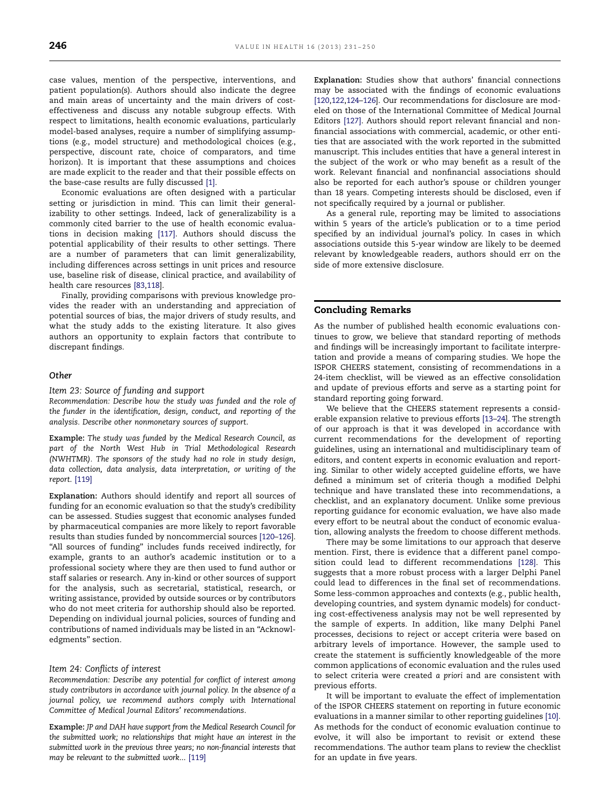case values, mention of the perspective, interventions, and patient population(s). Authors should also indicate the degree and main areas of uncertainty and the main drivers of costeffectiveness and discuss any notable subgroup effects. With respect to limitations, health economic evaluations, particularly model-based analyses, require a number of simplifying assumptions (e.g., model structure) and methodological choices (e.g., perspective, discount rate, choice of comparators, and time horizon). It is important that these assumptions and choices are made explicit to the reader and that their possible effects on the base-case results are fully discussed [\[1\]](#page-16-0).

Economic evaluations are often designed with a particular setting or jurisdiction in mind. This can limit their generalizability to other settings. Indeed, lack of generalizability is a commonly cited barrier to the use of health economic evaluations in decision making [\[117\].](#page-18-0) Authors should discuss the potential applicability of their results to other settings. There are a number of parameters that can limit generalizability, including differences across settings in unit prices and resource use, baseline risk of disease, clinical practice, and availability of health care resources [\[83,](#page-17-0)[118\]](#page-18-0).

Finally, providing comparisons with previous knowledge provides the reader with an understanding and appreciation of potential sources of bias, the major drivers of study results, and what the study adds to the existing literature. It also gives authors an opportunity to explain factors that contribute to discrepant findings.

## **Other**

#### Item 23: Source of funding and support

Recommendation: Describe how the study was funded and the role of the funder in the identification, design, conduct, and reporting of the analysis. Describe other nonmonetary sources of support.

Example: The study was funded by the Medical Research Council, as part of the North West Hub in Trial Methodological Research (NWHTMR). The sponsors of the study had no role in study design, data collection, data analysis, data interpretation, or writing of the report. [\[119\]](#page-19-0)

Explanation: Authors should identify and report all sources of funding for an economic evaluation so that the study's credibility can be assessed. Studies suggest that economic analyses funded by pharmaceutical companies are more likely to report favorable results than studies funded by noncommercial sources [\[120–126\]](#page-19-0). "All sources of funding" includes funds received indirectly, for example, grants to an author's academic institution or to a professional society where they are then used to fund author or staff salaries or research. Any in-kind or other sources of support for the analysis, such as secretarial, statistical, research, or writing assistance, provided by outside sources or by contributors who do not meet criteria for authorship should also be reported. Depending on individual journal policies, sources of funding and contributions of named individuals may be listed in an ''Acknowledgments'' section.

## Item 24: Conflicts of interest

Recommendation: Describe any potential for conflict of interest among study contributors in accordance with journal policy. In the absence of a journal policy, we recommend authors comply with International Committee of Medical Journal Editors' recommendations.

Example: JP and DAH have support from the Medical Research Council for the submitted work; no relationships that might have an interest in the submitted work in the previous three years; no non-financial interests that may be relevant to the submitted work... [\[119\]](#page-19-0)

Explanation: Studies show that authors' financial connections may be associated with the findings of economic evaluations [\[120,122,124–126](#page-19-0)]. Our recommendations for disclosure are modeled on those of the International Committee of Medical Journal Editors [\[127\].](#page-19-0) Authors should report relevant financial and nonfinancial associations with commercial, academic, or other entities that are associated with the work reported in the submitted manuscript. This includes entities that have a general interest in the subject of the work or who may benefit as a result of the work. Relevant financial and nonfinancial associations should also be reported for each author's spouse or children younger than 18 years. Competing interests should be disclosed, even if not specifically required by a journal or publisher.

As a general rule, reporting may be limited to associations within 5 years of the article's publication or to a time period specified by an individual journal's policy. In cases in which associations outside this 5-year window are likely to be deemed relevant by knowledgeable readers, authors should err on the side of more extensive disclosure.

## Concluding Remarks

As the number of published health economic evaluations continues to grow, we believe that standard reporting of methods and findings will be increasingly important to facilitate interpretation and provide a means of comparing studies. We hope the ISPOR CHEERS statement, consisting of recommendations in a 24-item checklist, will be viewed as an effective consolidation and update of previous efforts and serve as a starting point for standard reporting going forward.

We believe that the CHEERS statement represents a considerable expansion relative to previous efforts [\[13](#page-16-0)–[24](#page-16-0)]. The strength of our approach is that it was developed in accordance with current recommendations for the development of reporting guidelines, using an international and multidisciplinary team of editors, and content experts in economic evaluation and reporting. Similar to other widely accepted guideline efforts, we have defined a minimum set of criteria though a modified Delphi technique and have translated these into recommendations, a checklist, and an explanatory document. Unlike some previous reporting guidance for economic evaluation, we have also made every effort to be neutral about the conduct of economic evaluation, allowing analysts the freedom to choose different methods.

There may be some limitations to our approach that deserve mention. First, there is evidence that a different panel composition could lead to different recommendations [\[128\].](#page-19-0) This suggests that a more robust process with a larger Delphi Panel could lead to differences in the final set of recommendations. Some less-common approaches and contexts (e.g., public health, developing countries, and system dynamic models) for conducting cost-effectiveness analysis may not be well represented by the sample of experts. In addition, like many Delphi Panel processes, decisions to reject or accept criteria were based on arbitrary levels of importance. However, the sample used to create the statement is sufficiently knowledgeable of the more common applications of economic evaluation and the rules used to select criteria were created a priori and are consistent with previous efforts.

It will be important to evaluate the effect of implementation of the ISPOR CHEERS statement on reporting in future economic evaluations in a manner similar to other reporting guidelines [\[10\].](#page-16-0) As methods for the conduct of economic evaluation continue to evolve, it will also be important to revisit or extend these recommendations. The author team plans to review the checklist for an update in five years.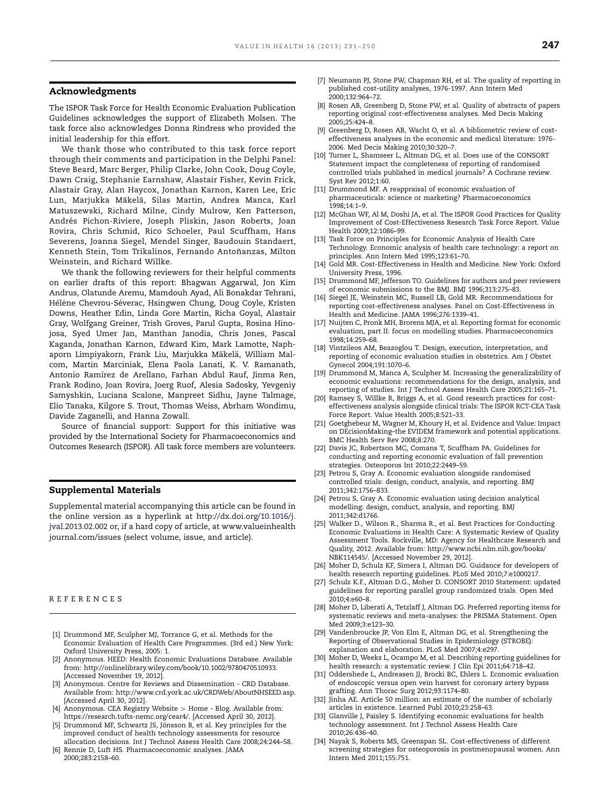## <span id="page-16-0"></span>Acknowledgments

The ISPOR Task Force for Health Economic Evaluation Publication Guidelines acknowledges the support of Elizabeth Molsen. The task force also acknowledges Donna Rindress who provided the initial leadership for this effort.

We thank those who contributed to this task force report through their comments and participation in the Delphi Panel: Steve Beard, Marc Berger, Philip Clarke, John Cook, Doug Coyle, Dawn Craig, Stephanie Earnshaw, Alastair Fisher, Kevin Frick, Alastair Gray, Alan Haycox, Jonathan Karnon, Karen Lee, Eric Lun, Marjukka Mäkelä, Silas Martin, Andrea Manca, Karl Matuszewski, Richard Milne, Cindy Mulrow, Ken Patterson, Andrés Pichon-Riviere, Joseph Pliskin, Jason Roberts, Joan Rovira, Chris Schmid, Rico Schoeler, Paul Scuffham, Hans Severens, Joanna Siegel, Mendel Singer, Baudouin Standaert, Kenneth Stein, Tom Trikalinos, Fernando Antoñanzas, Milton Weinstein, and Richard Willke.

We thank the following reviewers for their helpful comments on earlier drafts of this report: Bhagwan Aggarwal, Jon Kim Andrus, Olatunde Aremu, Mamdouh Ayad, Ali Bonakdar Tehrani, Hélène Chevrou-Séverac, Hsingwen Chung, Doug Coyle, Kristen Downs, Heather Edin, Linda Gore Martin, Richa Goyal, Alastair Gray, Wolfgang Greiner, Trish Groves, Parul Gupta, Rosina Hinojosa, Syed Umer Jan, Manthan Janodia, Chris Jones, Pascal Kaganda, Jonathan Karnon, Edward Kim, Mark Lamotte, Naphaporn Limpiyakorn, Frank Liu, Marjukka Mäkelä, William Malcom, Martin Marciniak, Elena Paola Lanati, K. V. Ramanath, Antonio Ramı´rez de Arellano, Farhan Abdul Rauf, Jinma Ren, Frank Rodino, Joan Rovira, Joerg Ruof, Alesia Sadosky, Yevgeniy Samyshkin, Luciana Scalone, Manpreet Sidhu, Jayne Talmage, Elio Tanaka, Kilgore S. Trout, Thomas Weiss, Abrham Wondimu, Davide Zaganelli, and Hanna Zowall.

Source of financial support: Support for this initiative was provided by the International Society for Pharmacoeconomics and Outcomes Research (ISPOR). All task force members are volunteers.

#### Supplemental Materials

Supplemental material accompanying this article can be found in the online version as a hyperlink at [http://dx.doi.org/10.1016/j.](dx.doi.org/doi:10.1016/j.jval.2013.02.002) [jval.2013.02.002](dx.doi.org/doi:10.1016/j.jval.2013.02.002) or, if a hard copy of article, at www.valueinhealth journal.com/issues (select volume, issue, and article).

#### REFERENCES

- [1] Drummond MF, Sculpher MJ, Torrance G, et al. Methods for the Economic Evaluation of Health Care Programmes. (3rd ed.) New York: Oxford University Press, 2005: 1.
- Anonymous. HEED: Health Economic Evaluations Database. Available from:<http://onlinelibrary.wiley.com/book/10.1002/9780470510933>. [Accessed November 19, 2012].
- [3] Anonymous. Centre for Reviews and Dissemination CRD Database. Available from:<http://www.crd.york.ac.uk/CRDWeb/AboutNHSEED.asp>. [Accessed April 30, 2012].
- [4] Anonymous. CEA Registry Website  $>$  Home Blog. Available from: [https://research.tufts-nemc.org/cear4/.](https://research.tufts-nemc.org/cear4/) [Accessed April 30, 2012].
- Drummond MF, Schwartz JS, Jönsson B, et al. Key principles for the improved conduct of health technology assessments for resource
- allocation decisions. Int J Technol Assess Health Care 2008;24:244–58. Rennie D, Luft HS. Pharmacoeconomic analyses. JAMA 2000;283:2158–60.
- [7] Neumann PJ, Stone PW, Chapman RH, et al. The quality of reporting in published cost-utility analyses, 1976-1997. Ann Intern Med .<br>2000;132:964–72.
- [8] Rosen AB, Greenberg D, Stone PW, et al. Quality of abstracts of papers reporting original cost-effectiveness analyses. Med Decis Making 2005;25:424–8.
- [9] Greenberg D, Rosen AB, Wacht O, et al. A bibliometric review of costeffectiveness analyses in the economic and medical literature: 1976- 2006. Med Decis Making 2010;30:320–7.
- [10] Turner L, Shamseer L, Altman DG, et al. Does use of the CONSORT Statement impact the completeness of reporting of randomised controlled trials published in medical journals? A Cochrane review. Syst Rev 2012;1:60.
- [11] Drummond MF. A reappraisal of economic evaluation of pharmaceuticals: science or marketing? Pharmacoeconomics 1998;14:1–9.
- [12] McGhan WF, Al M, Doshi JA, et al. The ISPOR Good Practices for Quality Improvement of Cost-Effectiveness Research Task Force Report. Value Health 2009;12:1086–99.
- [13] Task Force on Principles for Economic Analysis of Health Care Technology. Economic analysis of health care technology: a report on principles. Ann Intern Med 1995;123:61–70.
- [14] Gold MR. Cost-Effectiveness in Health and Medicine. New York: Oxford University Press, 1996.
- [15] Drummond MF, Jefferson TO. Guidelines for authors and peer reviewers of economic submissions to the BMJ. BMJ 1996;313:275–83.
- [16] Siegel JE, Weinstein MC, Russell LB, Gold MR. Recommendations for reporting cost-effectiveness analyses. Panel on Cost-Effectiveness in Health and Medicine. JAMA 1996;276:1339–41.
- [17] Nuijten C, Pronk MH, Brorens MJA, et al. Reporting format for economic evaluation, part II: focus on modelling studies. Pharmacoeconomics 1998;14:259–68.
- [18] Vintzileos AM, Beazoglou T. Design, execution, interpretation, and reporting of economic evaluation studies in obstetrics. Am J Obstet Gynecol 2004;191:1070–6.
- [19] Drummond M, Manca A, Sculpher M. Increasing the generalizability of economic evaluations: recommendations for the design, analysis, and reporting of studies. Int J Technol Assess Health Care 2005;21:165–71.
- [20] Ramsey S, Willke R, Briggs A, et al. Good research practices for costeffectiveness analysis alongside clinical trials: The ISPOR RCT-CEA Task Force Report. Value Health 2005;8:521–33.
- [21] Goetghebeur M, Wagner M, Khoury H, et al. Evidence and Value: Impact on DEcisionMaking–the EVIDEM framework and potential applications. BMC Health Serv Rev 2008;8:270.
- [22] Davis JC, Robertson MC, Comans T, Scuffham PA. Guidelines for conducting and reporting economic evaluation of fall prevention strategies. Osteoporos Int 2010;22:2449–59.
- [23] Petrou S, Gray A. Economic evaluation alongside randomised controlled trials: design, conduct, analysis, and reporting. BMJ 2011;342:1756–833.
- [24] Petrou S, Gray A. Economic evaluation using decision analytical modelling: design, conduct, analysis, and reporting. BMJ 2011;342:d1766.
- [25] Walker D., Wilson R., Sharma R., et al. Best Practices for Conducting Economic Evaluations in Health Care: A Systematic Review of Quality Assessment Tools. Rockville, MD: Agency for Healthcare Research and Quality, 2012. Available from: [http://www.ncbi.nlm.nih.gov/books/](http://www.ncbi.nlm.nih.gov/books/NBK114545/) [NBK114545/](http://www.ncbi.nlm.nih.gov/books/NBK114545/). [Accessed November 29, 2012].
- [26] Moher D, Schulz KF, Simera I, Altman DG. Guidance for developers of health research reporting guidelines. PLoS Med 2010;7:e1000217.
- [27] Schulz K.F., Altman D.G., Moher D. CONSORT 2010 Statement: updated guidelines for reporting parallel group randomized trials. Open Med 2010;4:e60–8.
- [28] Moher D, Liberati A, Tetzlaff J, Altman DG. Preferred reporting items for systematic reviews and meta-analyses: the PRISMA Statement. Open Med 2009;3:e123–30.
- [29] Vandenbroucke JP, Von Elm E, Altman DG, et al. Strengthening the Reporting of Observational Studies in Epidemiology (STROBE): explanation and elaboration. PLoS Med 2007;4:e297.
- [30] Moher D, Weeks L, Ocampo M, et al. Describing reporting guidelines for health research: a systematic review. J Clin Epi 2011;64:718–42.
- [31] Oddershede L, Andreasen JJ, Brocki BC, Ehlers L. Economic evaluation of endoscopic versus open vein harvest for coronary artery bypass grafting. Ann Thorac Surg 2012;93:1174–80.
- [32] Jinha AE. Article 50 million: an estimate of the number of scholarly articles in existence. Learned Publ 2010;23:258–63.
- [33] Glanville J, Paisley S. Identifying economic evaluations for health technology assessment. Int J Technol Assess Health Care 2010;26:436–40.
- [34] Nayak S, Roberts MS, Greenspan SL. Cost-effectiveness of different screening strategies for osteoporosis in postmenopausal women. Ann Intern Med 2011;155:751.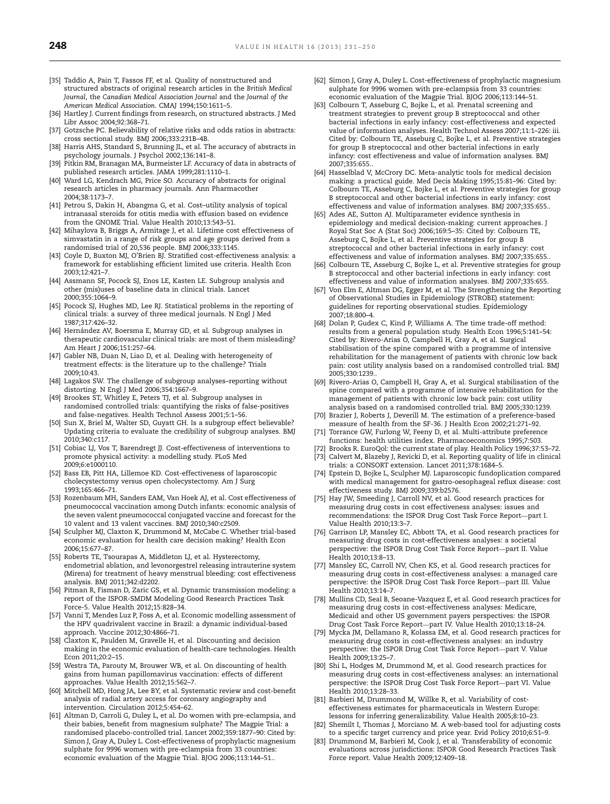- <span id="page-17-0"></span>[35] Taddio A, Pain T, Fassos FF, et al. Quality of nonstructured and structured abstracts of original research articles in the British Medical Journal, the Canadian Medical Association Journal and the Journal of the American Medical Association. CMAJ 1994;150:1611–5.
- [36] Hartley J. Current findings from research, on structured abstracts. J Med Libr Assoc 2004;92:368–71.
- [37] Gotzsche PC. Believability of relative risks and odds ratios in abstracts: cross sectional study. BMJ 2006;333:231B–4B.
- [38] Harris AHS, Standard S, Brunning JL, et al. The accuracy of abstracts in psychology journals. J Psychol 2002;136:141–8.
- [39] Pitkin RM, Branagan MA, Burmeister LF. Accuracy of data in abstracts of
- published research articles. JAMA 1999;281:1110–1. [40] Ward LG, Kendrach MG, Price SO. Accuracy of abstracts for original research articles in pharmacy journals. Ann Pharmacother 2004;38:1173–7.
- [41] Petrou S, Dakin H, Abangma G, et al. Cost–utility analysis of topical intranasal steroids for otitis media with effusion based on evidence from the GNOME Trial. Value Health 2010;13:543–51.
- [42] Mihaylova B, Briggs A, Armitage J, et al. Lifetime cost effectiveness of simvastatin in a range of risk groups and age groups derived from a randomised trial of 20,536 people. BMJ 2006;333:1145.
- [43] Coyle D, Buxton MJ, O'Brien BJ. Stratified cost-effectiveness analysis: a framework for establishing efficient limited use criteria. Health Econ 2003;12:421–7.
- [44] Assmann SF, Pocock SJ, Enos LE, Kasten LE. Subgroup analysis and other (mis)uses of baseline data in clinical trials. Lancet 2000;355:1064–9.
- [45] Pocock SJ, Hughes MD, Lee RJ. Statistical problems in the reporting of clinical trials: a survey of three medical journals. N Engl J Med 1987;317:426–32.
- [46] Hernández AV, Boersma E, Murray GD, et al. Subgroup analyses in therapeutic cardiovascular clinical trials: are most of them misleading? Am Heart J 2006;151:257–64.
- [47] Gabler NB, Duan N, Liao D, et al. Dealing with heterogeneity of treatment effects: is the literature up to the challenge? Trials 2009;10:43.
- [48] Lagakos SW. The challenge of subgroup analyses-reporting without distorting. N Engl J Med 2006;354:1667–9.
- [49] Brookes ST, Whitley E, Peters TJ, et al. Subgroup analyses in randomised controlled trials: quantifying the risks of false-positives and false-negatives. Health Technol Assess 2001;5:1–56.
- [50] Sun X, Briel M, Walter SD, Guyatt GH. Is a subgroup effect believable? Updating criteria to evaluate the credibility of subgroup analyses. BMJ 2010;340:c117.
- [51] Cobiac LJ, Vos T, Barendregt JJ. Cost-effectiveness of interventions to promote physical activity: a modelling study. PLoS Med 2009;6:e1000110.
- [52] Bass EB, Pitt HA, Lillemoe KD. Cost-effectiveness of laparoscopic cholecystectomy versus open cholecystectomy. Am J Surg 1993;165:466–71.
- [53] Rozenbaum MH, Sanders EAM, Van Hoek AJ, et al. Cost effectiveness of pneumococcal vaccination among Dutch infants: economic analysis of the seven valent pneumococcal conjugated vaccine and forecast for the 10 valent and 13 valent vaccines. BMJ 2010;340:c2509.
- [54] Sculpher MJ, Claxton K, Drummond M, McCabe C. Whether trial-based economic evaluation for health care decision making? Health Econ 2006;15:677–87.
- [55] Roberts TE, Tsourapas A, Middleton LJ, et al. Hysterectomy, endometrial ablation, and levonorgestrel releasing intrauterine system (Mirena) for treatment of heavy menstrual bleeding: cost effectiveness analysis. BMJ 2011;342:d2202.
- [56] Pitman R, Fisman D, Zaric GS, et al. Dynamic transmission modeling: a report of the ISPOR-SMDM Modeling Good Research Practices Task Force-5. Value Health 2012;15:828–34.
- [57] Vanni T, Mendes Luz P, Foss A, et al. Economic modelling assessment of the HPV quadrivalent vaccine in Brazil: a dynamic individual-based approach. Vaccine 2012;30:4866–71.
- [58] Claxton K, Paulden M, Gravelle H, et al. Discounting and decision making in the economic evaluation of health-care technologies. Health Econ 2011;20:2–15.
- [59] Westra TA, Parouty M, Brouwer WB, et al. On discounting of health gains from human papillomavirus vaccination: effects of different approaches. Value Health 2012;15:562–7.
- [60] Mitchell MD, Hong JA, Lee BY, et al. Systematic review and cost-benefit analysis of radial artery access for coronary angiography and intervention. Circulation 2012;5:454–62.
- [61] Altman D, Carroli G, Duley L, et al. Do women with pre-eclampsia, and their babies, benefit from magnesium sulphate? The Magpie Trial: a randomised placebo-controlled trial. Lancet 2002;359:1877–90: Cited by: Simon J, Gray A, Duley L. Cost-effectiveness of prophylactic magnesium sulphate for 9996 women with pre-eclampsia from 33 countries: economic evaluation of the Magpie Trial. BJOG 2006;113:144–51..
- [62] Simon J, Gray A, Duley L. Cost-effectiveness of prophylactic magnesium sulphate for 9996 women with pre-eclampsia from 33 countries: economic evaluation of the Magpie Trial. BJOG 2006;113:144–51.
- [63] Colbourn T, Asseburg C, Bojke L, et al. Prenatal screening and treatment strategies to prevent group B streptococcal and other bacterial infections in early infancy: cost-effectiveness and expected value of information analyses. Health Technol Assess 2007;11:1–226: iii. Cited by: Colbourn TE, Asseburg C, Bojke L, et al. Preventive strategies for group B streptococcal and other bacterial infections in early infancy: cost effectiveness and value of information analyses. BMJ 2007;335:655..
- [64] Hasselblad V, McCrory DC. Meta-analytic tools for medical decision making: a practical guide. Med Decis Making 1995;15:81–96: Cited by: Colbourn TE, Asseburg C, Bojke L, et al. Preventive strategies for group B streptococcal and other bacterial infections in early infancy: cost effectiveness and value of information analyses. BMJ 2007;335:655..
- [65] Ades AE, Sutton AJ. Multiparameter evidence synthesis in epidemiology and medical decision-making: current approaches. J Royal Stat Soc A (Stat Soc) 2006;169:5–35: Cited by: Colbourn TE, Asseburg C, Bojke L, et al. Preventive strategies for group B streptococcal and other bacterial infections in early infancy: cost effectiveness and value of information analyses. BMJ 2007;335:655..
- [66] Colbourn TE, Asseburg C, Bojke L, et al. Preventive strategies for group B streptococcal and other bacterial infections in early infancy: cost effectiveness and value of information analyses. BMJ 2007;335:655.
- [67] Von Elm E, Altman DG, Egger M, et al. The Strengthening the Reporting of Observational Studies in Epidemiology (STROBE) statement: guidelines for reporting observational studies. Epidemiology 2007;18:800–4.
- [68] Dolan P, Gudex C, Kind P, Williams A. The time trade-off method: results from a general population study. Health Econ 1996;5:141–54: Cited by: Rivero-Arias O, Campbell H, Gray A, et al. Surgical stabilisation of the spine compared with a programme of intensive rehabilitation for the management of patients with chronic low back pain: cost utility analysis based on a randomised controlled trial. BMJ 2005;330:1239..
- [69] Rivero-Arias O, Campbell H, Gray A, et al. Surgical stabilisation of the spine compared with a programme of intensive rehabilitation for the management of patients with chronic low back pain: cost utility analysis based on a randomised controlled trial. BMJ 2005;330:1239.
- [70] Brazier J, Roberts J, Deverill M. The estimation of a preference-based measure of health from the SF-36. J Health Econ 2002;21:271–92.
- [71] Torrance GW, Furlong W, Feeny D, et al. Multi-attribute preference functions: health utilities index. Pharmacoeconomics 1995;7:503.
- Brooks R. EuroQol: the current state of play. Health Policy 1996;37:53-72. [73] Calvert M, Blazeby J, Revicki D, et al. Reporting quality of life in clinical
- trials: a CONSORT extension. Lancet 2011;378:1684–5. [74] Epstein D, Bojke L, Sculpher MJ. Laparoscopic fundoplication compared
- with medical management for gastro-oesophageal reflux disease: cost effectiveness study. BMJ 2009;339:b2576.
- [75] Hay JW, Smeeding J, Carroll NV, et al. Good research practices for measuring drug costs in cost effectiveness analyses: issues and recommendations: the ISPOR Drug Cost Task Force Report—part I. Value Health 2010;13:3–7.
- [76] Garrison LP, Mansley EC, Abbott TA, et al. Good research practices for measuring drug costs in cost-effectiveness analyses: a societal perspective: the ISPOR Drug Cost Task Force Report—part II. Value Health 2010;13:8–13.
- [77] Mansley EC, Carroll NV, Chen KS, et al. Good research practices for measuring drug costs in cost-effectiveness analyses: a managed care perspective: the ISPOR Drug Cost Task Force Report—part III. Value Health 2010;13:14–7.
- [78] Mullins CD, Seal B, Seoane-Vazquez E, et al. Good research practices for measuring drug costs in cost-effectiveness analyses: Medicare, Medicaid and other US government payers perspectives: the ISPOR Drug Cost Task Force Report—part IV. Value Health 2010;13:18–24.
- [79] Mycka JM, Dellamano R, Kolassa EM, et al. Good research practices for measuring drug costs in cost-effectiveness analyses: an industry perspective: the ISPOR Drug Cost Task Force Report—part V. Value Health 2009;13:25–7.
- [80] Shi L, Hodges M, Drummond M, et al. Good research practices for measuring drug costs in cost-effectiveness analyses: an international perspective: the ISPOR Drug Cost Task Force Report—part VI. Value Health 2010;13:28–33.
- [81] Barbieri M, Drummond M, Willke R, et al. Variability of costeffectiveness estimates for pharmaceuticals in Western Europe: lessons for inferring generalizability. Value Health 2005;8:10–23.
- [82] Shemilt I, Thomas J, Morciano M. A web-based tool for adjusting costs to a specific target currency and price year. Evid Policy 2010;6:51–9.
- [83] Drummond M, Barbieri M, Cook J, et al. Transferability of economic evaluations across jurisdictions: ISPOR Good Research Practices Task Force report. Value Health 2009;12:409–18.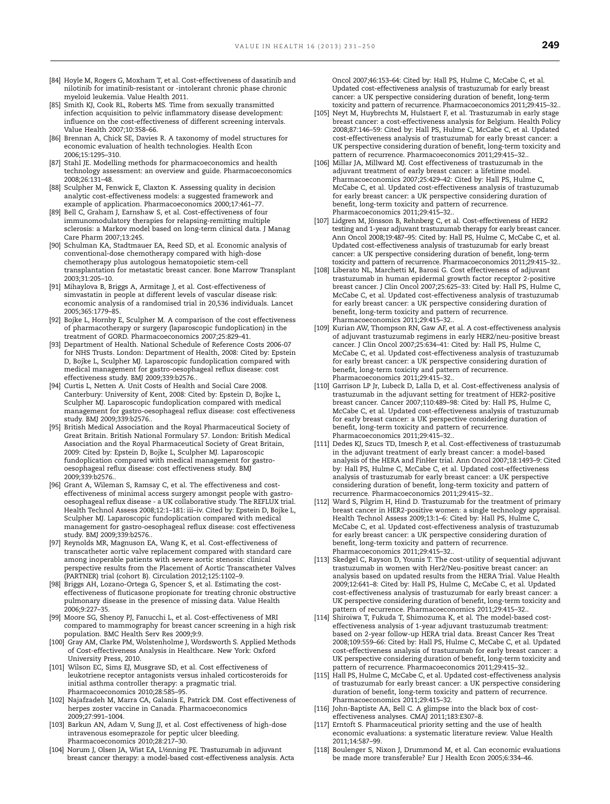- <span id="page-18-0"></span>[84] Hoyle M, Rogers G, Moxham T, et al. Cost-effectiveness of dasatinib and nilotinib for imatinib-resistant or -intolerant chronic phase chronic myeloid leukemia. Value Health 2011.
- [85] Smith KJ, Cook RL, Roberts MS. Time from sexually transmitted infection acquisition to pelvic inflammatory disease development: influence on the cost-effectiveness of different screening intervals. Value Health 2007;10:358–66.
- [86] Brennan A, Chick SE, Davies R. A taxonomy of model structures for economic evaluation of health technologies. Health Econ 2006;15:1295–310.
- [87] Stahl JE. Modelling methods for pharmacoeconomics and health technology assessment: an overview and guide. Pharmacoeconomics 2008;26:131–48.
- [88] Sculpher M, Fenwick E, Claxton K. Assessing quality in decision analytic cost-effectiveness models: a suggested framework and example of application. Pharmacoeconomics 2000;17:461–77.
- [89] Bell C, Graham J, Earnshaw S, et al. Cost-effectiveness of four immunomodulatory therapies for relapsing-remitting multiple sclerosis: a Markov model based on long-term clinical data. J Manag Care Pharm 2007;13:245.
- [90] Schulman KA, Stadtmauer EA, Reed SD, et al. Economic analysis of conventional-dose chemotherapy compared with high-dose chemotherapy plus autologous hematopoietic stem-cell transplantation for metastatic breast cancer. Bone Marrow Transplant 2003;31:205–10.
- [91] Mihaylova B, Briggs A, Armitage J, et al. Cost-effectiveness of simvastatin in people at different levels of vascular disease risk: economic analysis of a randomised trial in 20,536 individuals. Lancet 2005;365:1779–85.
- [92] Bojke L, Hornby E, Sculpher M. A comparison of the cost effectiveness of pharmacotherapy or surgery (laparoscopic fundoplication) in the treatment of GORD. Pharmacoeconomics 2007;25:829–41.
- [93] Department of Health. National Schedule of Reference Costs 2006-07 for NHS Trusts. London: Department of Health, 2008: Cited by: Epstein D, Bojke L, Sculpher MJ. Laparoscopic fundoplication compared with medical management for gastro-oesophageal reflux disease: cost effectiveness study. BMJ 2009;339:b2576..
- [94] Curtis L, Netten A. Unit Costs of Health and Social Care 2008. Canterbury: University of Kent, 2008: Cited by: Epstein D, Bojke L, Sculpher MJ. Laparoscopic fundoplication compared with medical management for gastro-oesophageal reflux disease: cost effectiveness study. BMJ 2009;339:b2576..
- [95] British Medical Association and the Royal Pharmaceutical Society of Great Britain. British National Formulary 57. London: British Medical Association and the Royal Pharmaceutical Society of Great Britain, 2009: Cited by: Epstein D, Bojke L, Sculpher MJ. Laparoscopic fundoplication compared with medical management for gastrooesophageal reflux disease: cost effectiveness study. BMJ 2009;339:b2576..
- [96] Grant A, Wileman S, Ramsay C, et al. The effectiveness and costeffectiveness of minimal access surgery amongst people with gastrooesophageal reflux disease - a UK collaborative study. The REFLUX trial. Health Technol Assess 2008;12:1–181: iii–iv. Cited by: Epstein D, Bojke L, Sculpher MJ. Laparoscopic fundoplication compared with medical management for gastro-oesophageal reflux disease: cost effectiveness study. BMJ 2009;339:b2576..
- [97] Reynolds MR, Magnuson EA, Wang K, et al. Cost-effectiveness of transcatheter aortic valve replacement compared with standard care among inoperable patients with severe aortic stenosis: clinical perspective results from the Placement of Aortic Transcatheter Valves (PARTNER) trial (cohort B). Circulation 2012;125:1102–9.
- [98] Briggs AH, Lozano-Ortega G, Spencer S, et al. Estimating the costeffectiveness of fluticasone propionate for treating chronic obstructive pulmonary disease in the presence of missing data. Value Health 2006;9:227–35.
- [99] Moore SG, Shenoy PJ, Fanucchi L, et al. Cost-effectiveness of MRI compared to mammography for breast cancer screening in a high risk population. BMC Health Serv Res 2009;9:9.
- [100] Gray AM, Clarke PM, Wolstenholme J, Wordsworth S. Applied Methods of Cost-effectiveness Analysis in Healthcare. New York: Oxford University Press, 2010.
- [101] Wilson EC, Sims EJ, Musgrave SD, et al. Cost effectiveness of leukotriene receptor antagonists versus inhaled corticosteroids for initial asthma controller therapy: a pragmatic trial. Pharmacoeconomics 2010;28:585–95.
- [102] Najafzadeh M, Marra CA, Galanis E, Patrick DM. Cost effectiveness of herpes zoster vaccine in Canada. Pharmacoeconomics 2009;27:991–1004.
- [103] Barkun AN, Adam V, Sung JJ, et al. Cost effectiveness of high-dose intravenous esomeprazole for peptic ulcer bleeding. Pharmacoeconomics 2010;28:217–30.
- [104] Norum J, Olsen JA, Wist EA, L½nning PE. Trastuzumab in adjuvant breast cancer therapy: a model-based cost-effectiveness analysis. Acta

Oncol 2007;46:153–64: Cited by: Hall PS, Hulme C, McCabe C, et al. Updated cost-effectiveness analysis of trastuzumab for early breast cancer: a UK perspective considering duration of benefit, long-term toxicity and pattern of recurrence. Pharmacoeconomics 2011;29:415–32..

- [105] Neyt M, Huybrechts M, Hulstaert F, et al. Trastuzumab in early stage breast cancer: a cost-effectiveness analysis for Belgium. Health Policy 2008;87:146–59: Cited by: Hall PS, Hulme C, McCabe C, et al. Updated cost-effectiveness analysis of trastuzumab for early breast cancer: a UK perspective considering duration of benefit, long-term toxicity and pattern of recurrence. Pharmacoeconomics 2011;29:415–32..
- [106] Millar JA, Millward MJ. Cost effectiveness of trastuzumab in the adjuvant treatment of early breast cancer: a lifetime model. Pharmacoeconomics 2007;25:429-42: Cited by: Hall PS, Hulme C, McCabe C, et al. Updated cost-effectiveness analysis of trastuzumab for early breast cancer: a UK perspective considering duration of benefit, long-term toxicity and pattern of recurrence. Pharmacoeconomics 2011;29:415–32..
- [107] Lidgren M, Jönsson B, Rehnberg C, et al. Cost-effectiveness of HER2 testing and 1-year adjuvant trastuzumab therapy for early breast cancer. Ann Oncol 2008;19:487–95: Cited by: Hall PS, Hulme C, McCabe C, et al. Updated cost-effectiveness analysis of trastuzumab for early breast cancer: a UK perspective considering duration of benefit, long-term toxicity and pattern of recurrence. Pharmacoeconomics 2011;29:415–32..
- [108] Liberato NL, Marchetti M, Barosi G. Cost effectiveness of adjuvant trastuzumab in human epidermal growth factor receptor 2-positive breast cancer. J Clin Oncol 2007;25:625–33: Cited by: Hall PS, Hulme C, McCabe C, et al. Updated cost-effectiveness analysis of trastuzumab for early breast cancer: a UK perspective considering duration of benefit, long-term toxicity and pattern of recurrence. Pharmacoeconomics 2011;29:415–32..
- [109] Kurian AW, Thompson RN, Gaw AF, et al. A cost-effectiveness analysis of adjuvant trastuzumab regimens in early HER2/neu-positive breast cancer. J Clin Oncol 2007;25:634–41: Cited by: Hall PS, Hulme C, McCabe C, et al. Updated cost-effectiveness analysis of trastuzumab for early breast cancer: a UK perspective considering duration of benefit, long-term toxicity and pattern of recurrence. Pharmacoeconomics 2011;29:415–32..
- [110] Garrison LP Jr, Lubeck D, Lalla D, et al. Cost-effectiveness analysis of trastuzumab in the adjuvant setting for treatment of HER2-positive breast cancer. Cancer 2007;110:489–98: Cited by: Hall PS, Hulme C, McCabe C, et al. Updated cost-effectiveness analysis of trastuzumab for early breast cancer: a UK perspective considering duration of benefit, long-term toxicity and pattern of recurrence. Pharmacoeconomics 2011;29:415–32..
- [111] Dedes KJ, Szucs TD, Imesch P, et al. Cost-effectiveness of trastuzumab in the adjuvant treatment of early breast cancer: a model-based analysis of the HERA and FinHer trial. Ann Oncol 2007;18:1493–9: Cited by: Hall PS, Hulme C, McCabe C, et al. Updated cost-effectiveness analysis of trastuzumab for early breast cancer: a UK perspective considering duration of benefit, long-term toxicity and pattern of recurrence. Pharmacoeconomics 2011;29:415–32..
- [112] Ward S, Pilgrim H, Hind D. Trastuzumab for the treatment of primary breast cancer in HER2-positive women: a single technology appraisal. Health Technol Assess 2009;13:1–6: Cited by: Hall PS, Hulme C, McCabe C, et al. Updated cost-effectiveness analysis of trastuzumab for early breast cancer: a UK perspective considering duration of benefit, long-term toxicity and pattern of recurrence. Pharmacoeconomics 2011;29:415–32..
- [113] Skedgel C, Rayson D, Younis T. The cost-utility of sequential adjuvant trastuzumab in women with Her2/Neu-positive breast cancer: an analysis based on updated results from the HERA Trial. Value Health 2009;12:641–8: Cited by: Hall PS, Hulme C, McCabe C, et al. Updated cost-effectiveness analysis of trastuzumab for early breast cancer: a UK perspective considering duration of benefit, long-term toxicity and pattern of recurrence. Pharmacoeconomics 2011;29:415–32..
- [114] Shiroiwa T, Fukuda T, Shimozuma K, et al. The model-based costeffectiveness analysis of 1-year adjuvant trastuzumab treatment: based on 2-year follow-up HERA trial data. Breast Cancer Res Treat 2008;109:559–66: Cited by: Hall PS, Hulme C, McCabe C, et al. Updated cost-effectiveness analysis of trastuzumab for early breast cancer: a UK perspective considering duration of benefit, long-term toxicity and pattern of recurrence. Pharmacoeconomics 2011;29:415–32..
- [115] Hall PS, Hulme C, McCabe C, et al. Updated cost-effectiveness analysis of trastuzumab for early breast cancer: a UK perspective considering duration of benefit, long-term toxicity and pattern of recurrence. Pharmacoeconomics 2011;29:415–32.
- [116] John-Baptiste AA, Bell C. A glimpse into the black box of costeffectiveness analyses. CMAJ 2011;183:E307–8.
- [117] Erntoft S. Pharmaceutical priority setting and the use of health economic evaluations: a systematic literature review. Value Health 2011;14:587–99.
- [118] Boulenger S, Nixon J, Drummond M, et al. Can economic evaluations be made more transferable? Eur J Health Econ 2005;6:334–46.